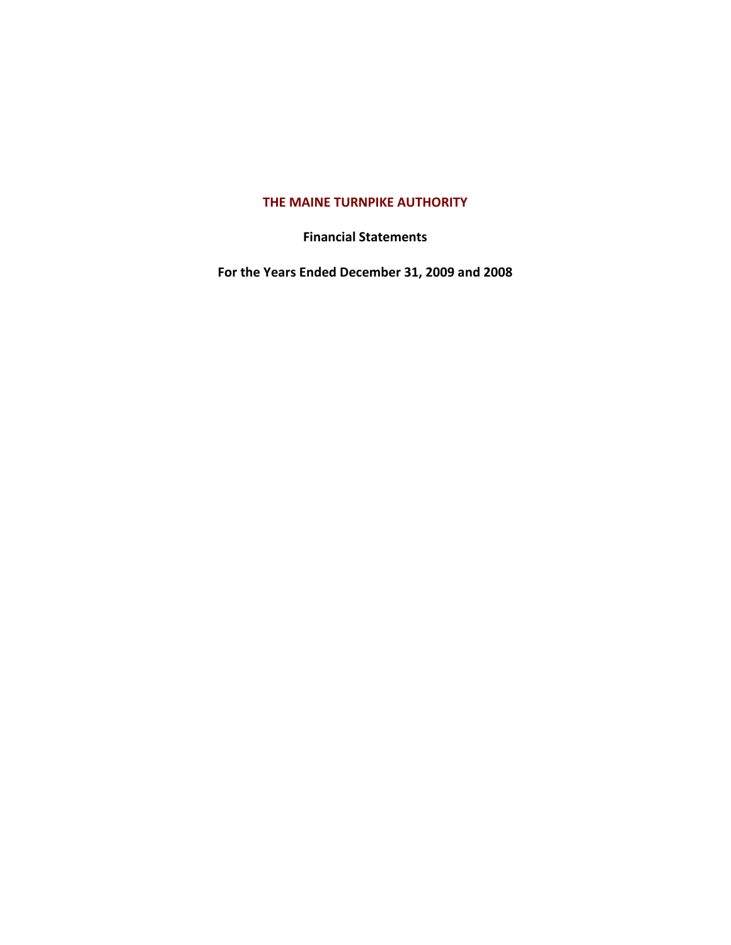# **THE MAINE TURNPIKE AUTHORITY**

**Financial Statements**

**For the Years Ended December 31, 2009 and 2008**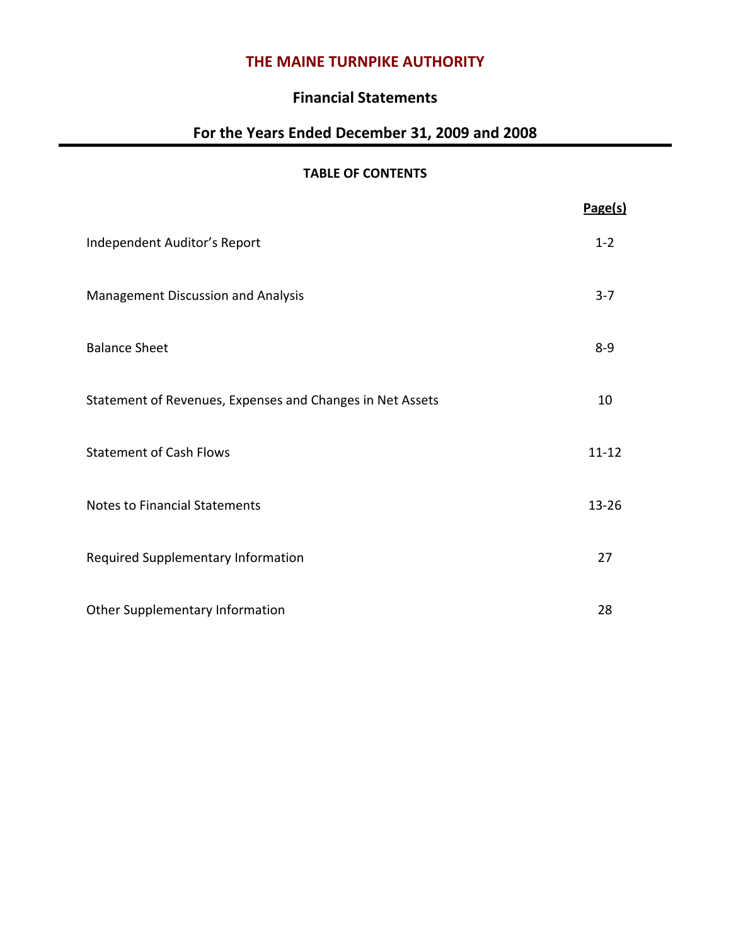# **THE MAINE TURNPIKE AUTHORITY**

# **Financial Statements**

# **For the Years Ended December 31, 2009 and 2008**

# **TABLE OF CONTENTS**

|                                                           | Page(s)   |
|-----------------------------------------------------------|-----------|
| Independent Auditor's Report                              | $1 - 2$   |
| Management Discussion and Analysis                        | $3 - 7$   |
| <b>Balance Sheet</b>                                      | $8 - 9$   |
| Statement of Revenues, Expenses and Changes in Net Assets | 10        |
| <b>Statement of Cash Flows</b>                            | $11 - 12$ |
| <b>Notes to Financial Statements</b>                      | $13 - 26$ |
| Required Supplementary Information                        | 27        |
| Other Supplementary Information                           | 28        |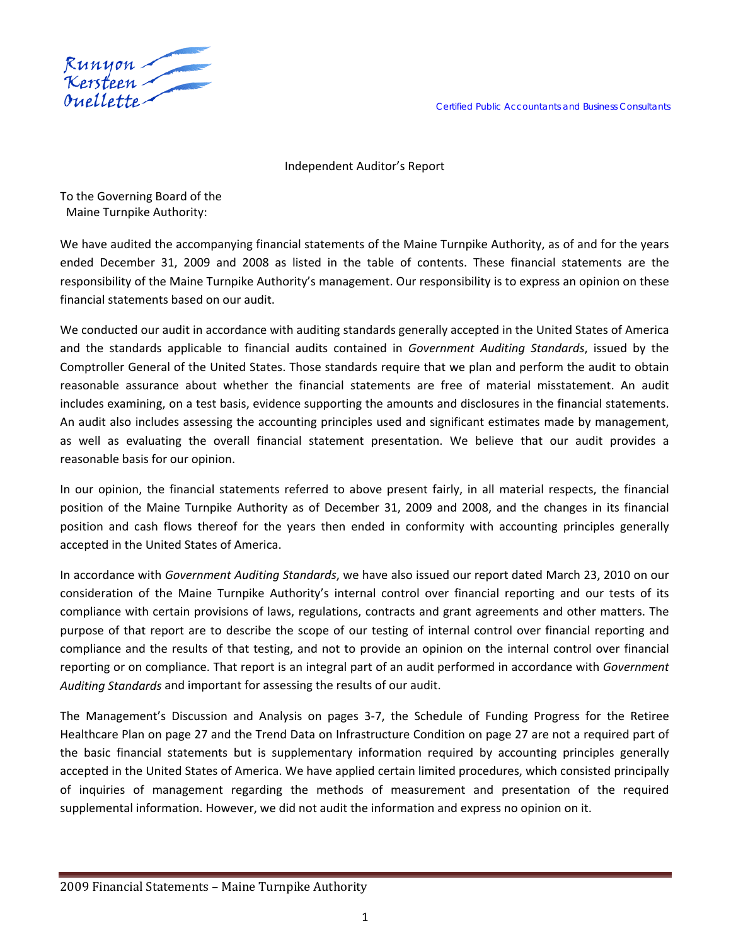

Independent Auditor's Report

To the Governing Board of the Maine Turnpike Authority:

We have audited the accompanying financial statements of the Maine Turnpike Authority, as of and for the years ended December 31, 2009 and 2008 as listed in the table of contents. These financial statements are the responsibility of the Maine Turnpike Authority's management. Our responsibility is to express an opinion on these financial statements based on our audit.

We conducted our audit in accordance with auditing standards generally accepted in the United States of America and the standards applicable to financial audits contained in *Government Auditing Standards*, issued by the Comptroller General of the United States. Those standards require that we plan and perform the audit to obtain reasonable assurance about whether the financial statements are free of material misstatement. An audit includes examining, on a test basis, evidence supporting the amounts and disclosures in the financial statements. An audit also includes assessing the accounting principles used and significant estimates made by management, as well as evaluating the overall financial statement presentation. We believe that our audit provides a reasonable basis for our opinion.

In our opinion, the financial statements referred to above present fairly, in all material respects, the financial position of the Maine Turnpike Authority as of December 31, 2009 and 2008, and the changes in its financial position and cash flows thereof for the years then ended in conformity with accounting principles generally accepted in the United States of America.

In accordance with *Government Auditing Standards*, we have also issued our report dated March 23, 2010 on our consideration of the Maine Turnpike Authority's internal control over financial reporting and our tests of its compliance with certain provisions of laws, regulations, contracts and grant agreements and other matters. The purpose of that report are to describe the scope of our testing of internal control over financial reporting and compliance and the results of that testing, and not to provide an opinion on the internal control over financial reporting or on compliance. That report is an integral part of an audit performed in accordance with *Government Auditing Standards* and important for assessing the results of our audit.

The Management's Discussion and Analysis on pages 3‐7, the Schedule of Funding Progress for the Retiree Healthcare Plan on page 27 and the Trend Data on Infrastructure Condition on page 27 are not a required part of the basic financial statements but is supplementary information required by accounting principles generally accepted in the United States of America. We have applied certain limited procedures, which consisted principally of inquiries of management regarding the methods of measurement and presentation of the required supplemental information. However, we did not audit the information and express no opinion on it.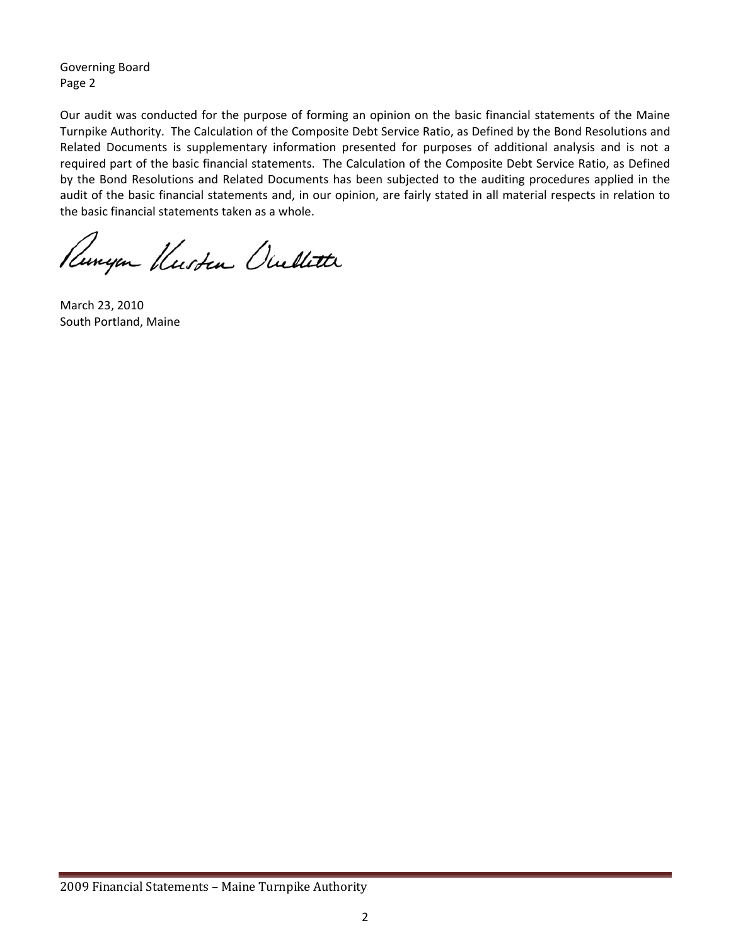Governing Board Page 2

Our audit was conducted for the purpose of forming an opinion on the basic financial statements of the Maine Turnpike Authority. The Calculation of the Composite Debt Service Ratio, as Defined by the Bond Resolutions and Related Documents is supplementary information presented for purposes of additional analysis and is not a required part of the basic financial statements. The Calculation of the Composite Debt Service Ratio, as Defined by the Bond Resolutions and Related Documents has been subjected to the auditing procedures applied in the audit of the basic financial statements and, in our opinion, are fairly stated in all material respects in relation to the basic financial statements taken as a whole.

Runyon Kusten Ouellette

March 23, 2010 South Portland, Maine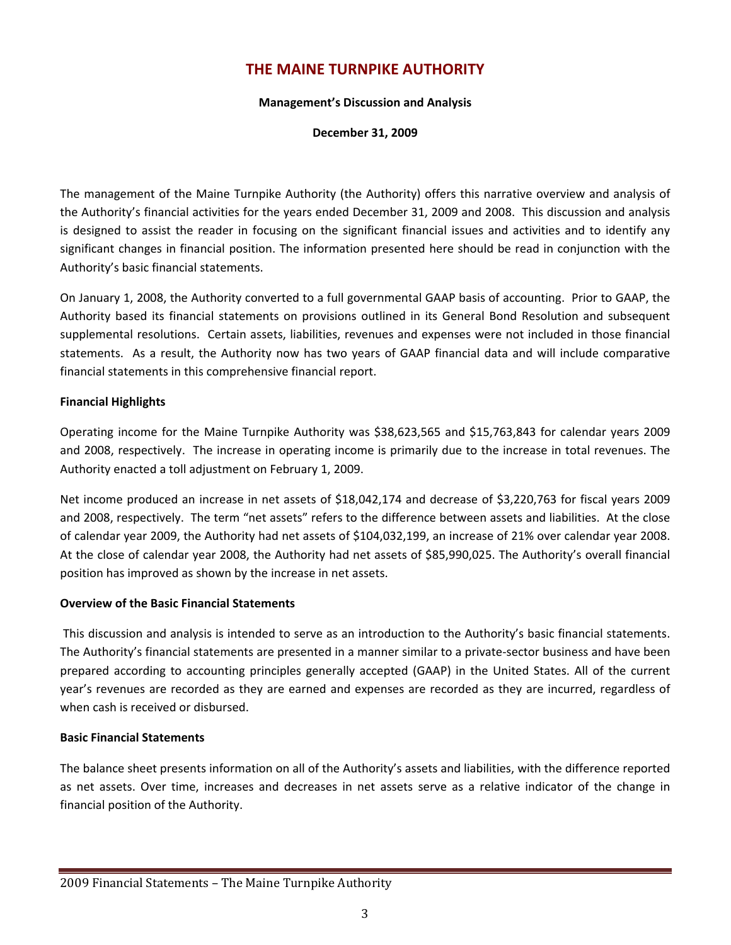# **THE MAINE TURNPIKE AUTHORITY**

#### **Management's Discussion and Analysis**

**December 31, 2009**

The management of the Maine Turnpike Authority (the Authority) offers this narrative overview and analysis of the Authority's financial activities for the years ended December 31, 2009 and 2008. This discussion and analysis is designed to assist the reader in focusing on the significant financial issues and activities and to identify any significant changes in financial position. The information presented here should be read in conjunction with the Authority's basic financial statements.

On January 1, 2008, the Authority converted to a full governmental GAAP basis of accounting. Prior to GAAP, the Authority based its financial statements on provisions outlined in its General Bond Resolution and subsequent supplemental resolutions. Certain assets, liabilities, revenues and expenses were not included in those financial statements. As a result, the Authority now has two years of GAAP financial data and will include comparative financial statements in this comprehensive financial report.

#### **Financial Highlights**

Operating income for the Maine Turnpike Authority was \$38,623,565 and \$15,763,843 for calendar years 2009 and 2008, respectively. The increase in operating income is primarily due to the increase in total revenues. The Authority enacted a toll adjustment on February 1, 2009.

Net income produced an increase in net assets of \$18,042,174 and decrease of \$3,220,763 for fiscal years 2009 and 2008, respectively. The term "net assets" refers to the difference between assets and liabilities. At the close of calendar year 2009, the Authority had net assets of \$104,032,199, an increase of 21% over calendar year 2008. At the close of calendar year 2008, the Authority had net assets of \$85,990,025. The Authority's overall financial position has improved as shown by the increase in net assets.

### **Overview of the Basic Financial Statements**

This discussion and analysis is intended to serve as an introduction to the Authority's basic financial statements. The Authority's financial statements are presented in a manner similar to a private‐sector business and have been prepared according to accounting principles generally accepted (GAAP) in the United States. All of the current year's revenues are recorded as they are earned and expenses are recorded as they are incurred, regardless of when cash is received or disbursed.

#### **Basic Financial Statements**

The balance sheet presents information on all of the Authority's assets and liabilities, with the difference reported as net assets. Over time, increases and decreases in net assets serve as a relative indicator of the change in financial position of the Authority.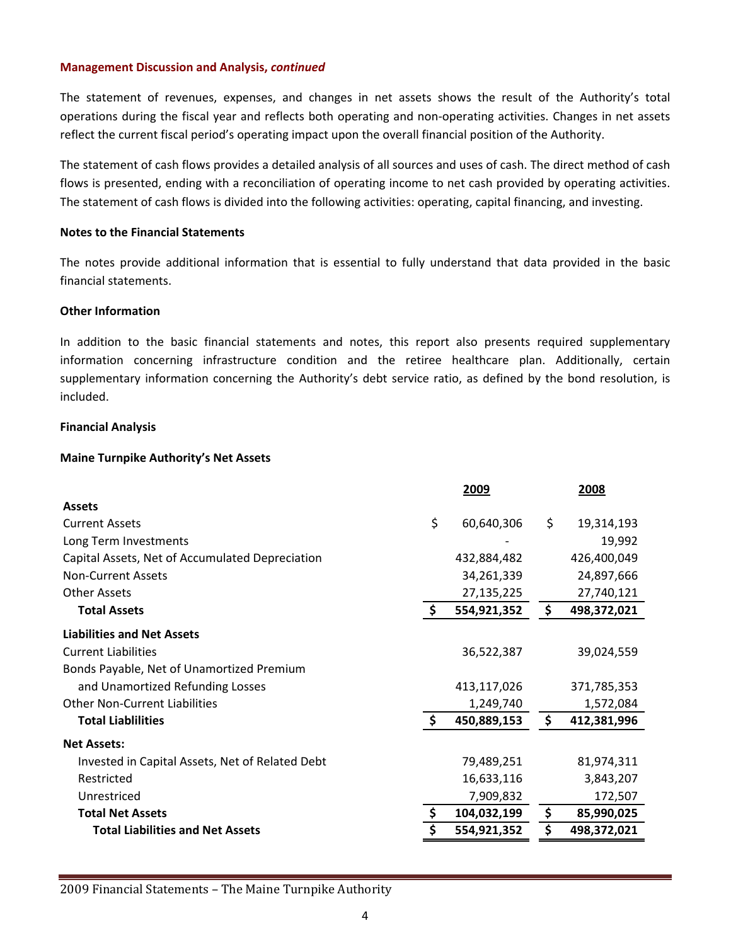The statement of revenues, expenses, and changes in net assets shows the result of the Authority's total operations during the fiscal year and reflects both operating and non‐operating activities. Changes in net assets reflect the current fiscal period's operating impact upon the overall financial position of the Authority.

The statement of cash flows provides a detailed analysis of all sources and uses of cash. The direct method of cash flows is presented, ending with a reconciliation of operating income to net cash provided by operating activities. The statement of cash flows is divided into the following activities: operating, capital financing, and investing.

#### **Notes to the Financial Statements**

The notes provide additional information that is essential to fully understand that data provided in the basic financial statements.

# **Other Information**

In addition to the basic financial statements and notes, this report also presents required supplementary information concerning infrastructure condition and the retiree healthcare plan. Additionally, certain supplementary information concerning the Authority's debt service ratio, as defined by the bond resolution, is included.

# **Financial Analysis**

# **Maine Turnpike Authority's Net Assets**

|                                                 |    | 2009        | 2008              |
|-------------------------------------------------|----|-------------|-------------------|
| <b>Assets</b>                                   |    |             |                   |
| <b>Current Assets</b>                           | \$ | 60,640,306  | \$<br>19,314,193  |
| Long Term Investments                           |    |             | 19,992            |
| Capital Assets, Net of Accumulated Depreciation |    | 432,884,482 | 426,400,049       |
| <b>Non-Current Assets</b>                       |    | 34,261,339  | 24,897,666        |
| <b>Other Assets</b>                             |    | 27,135,225  | 27,740,121        |
| <b>Total Assets</b>                             | S. | 554,921,352 | \$<br>498,372,021 |
| <b>Liabilities and Net Assets</b>               |    |             |                   |
| <b>Current Liabilities</b>                      |    | 36,522,387  | 39,024,559        |
| Bonds Payable, Net of Unamortized Premium       |    |             |                   |
| and Unamortized Refunding Losses                |    | 413,117,026 | 371,785,353       |
| <b>Other Non-Current Liabilities</b>            |    | 1,249,740   | 1,572,084         |
| <b>Total Liablilities</b>                       |    | 450,889,153 | \$<br>412,381,996 |
| <b>Net Assets:</b>                              |    |             |                   |
| Invested in Capital Assets, Net of Related Debt |    | 79,489,251  | 81,974,311        |
| Restricted                                      |    | 16,633,116  | 3,843,207         |
| Unrestriced                                     |    | 7,909,832   | 172,507           |
| <b>Total Net Assets</b>                         |    | 104,032,199 | \$<br>85,990,025  |
| <b>Total Liabilities and Net Assets</b>         |    | 554,921,352 | \$<br>498,372,021 |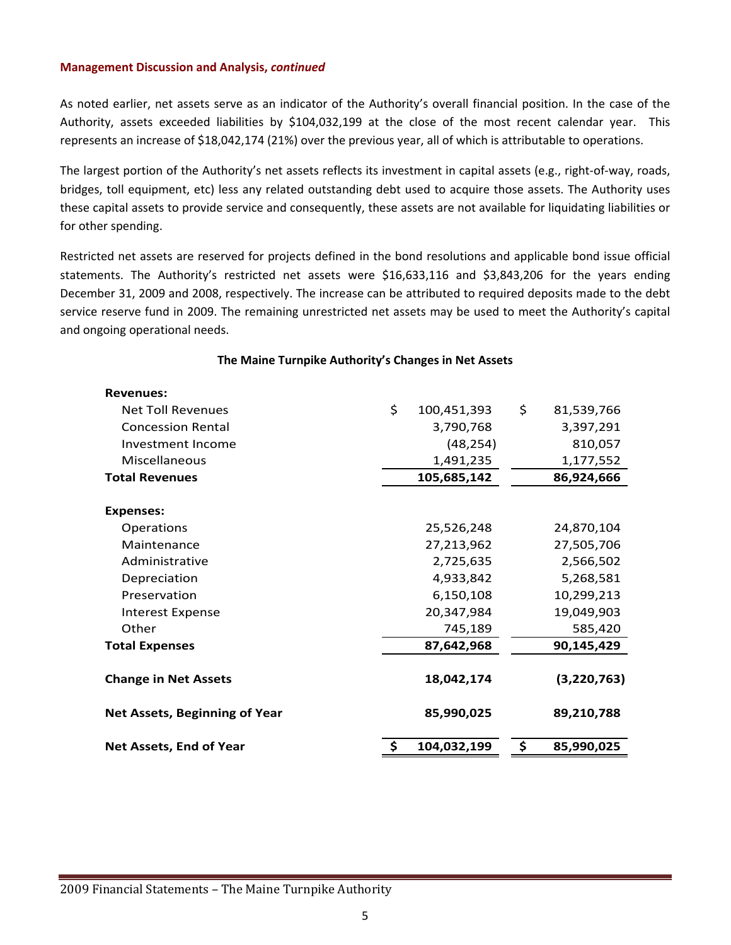As noted earlier, net assets serve as an indicator of the Authority's overall financial position. In the case of the Authority, assets exceeded liabilities by \$104,032,199 at the close of the most recent calendar year. This represents an increase of \$18,042,174 (21%) over the previous year, all of which is attributable to operations.

The largest portion of the Authority's net assets reflects its investment in capital assets (e.g., right‐of‐way, roads, bridges, toll equipment, etc) less any related outstanding debt used to acquire those assets. The Authority uses these capital assets to provide service and consequently, these assets are not available for liquidating liabilities or for other spending.

Restricted net assets are reserved for projects defined in the bond resolutions and applicable bond issue official statements. The Authority's restricted net assets were \$16,633,116 and \$3,843,206 for the years ending December 31, 2009 and 2008, respectively. The increase can be attributed to required deposits made to the debt service reserve fund in 2009. The remaining unrestricted net assets may be used to meet the Authority's capital and ongoing operational needs.

| <b>Revenues:</b>                     |                   |                  |
|--------------------------------------|-------------------|------------------|
| <b>Net Toll Revenues</b>             | \$<br>100,451,393 | \$<br>81,539,766 |
| <b>Concession Rental</b>             | 3,790,768         | 3,397,291        |
| Investment Income                    | (48, 254)         | 810,057          |
| Miscellaneous                        | 1,491,235         | 1,177,552        |
| <b>Total Revenues</b>                | 105,685,142       | 86,924,666       |
|                                      |                   |                  |
| <b>Expenses:</b>                     |                   |                  |
| Operations                           | 25,526,248        | 24,870,104       |
| Maintenance                          | 27,213,962        | 27,505,706       |
| Administrative                       | 2,725,635         | 2,566,502        |
| Depreciation                         | 4,933,842         | 5,268,581        |
| Preservation                         | 6,150,108         | 10,299,213       |
| <b>Interest Expense</b>              | 20,347,984        | 19,049,903       |
| Other                                | 745,189           | 585,420          |
| <b>Total Expenses</b>                | 87,642,968        | 90,145,429       |
| <b>Change in Net Assets</b>          | 18,042,174        | (3,220,763)      |
| <b>Net Assets, Beginning of Year</b> | 85,990,025        | 89,210,788       |
| Net Assets, End of Year              | 104,032,199       | \$<br>85,990,025 |

# **The Maine Turnpike Authority's Changes in Net Assets**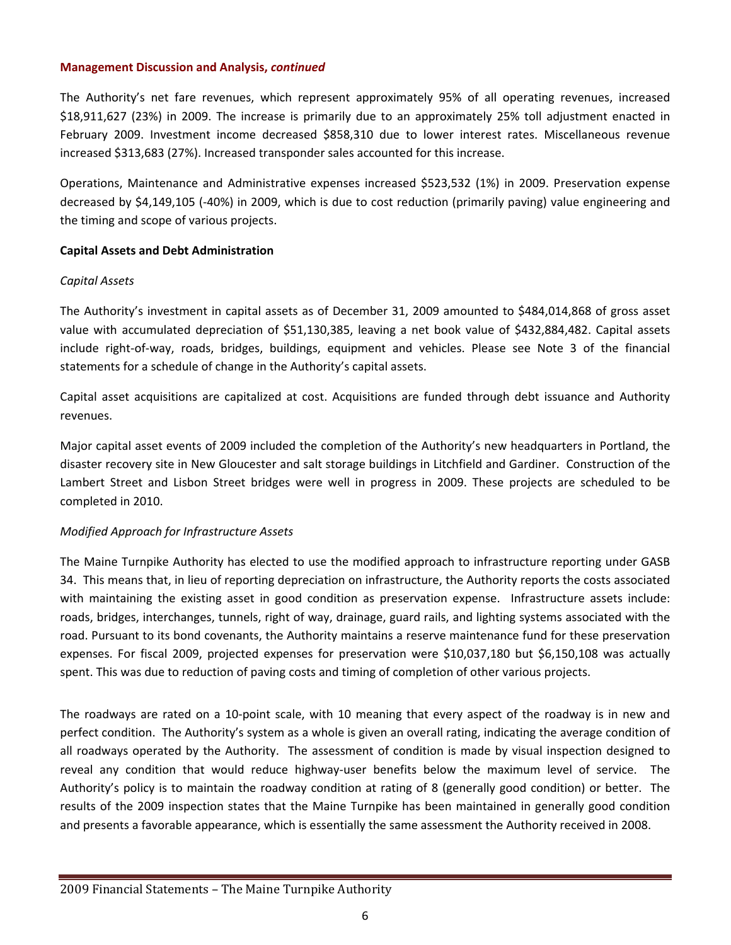The Authority's net fare revenues, which represent approximately 95% of all operating revenues, increased \$18,911,627 (23%) in 2009. The increase is primarily due to an approximately 25% toll adjustment enacted in February 2009. Investment income decreased \$858,310 due to lower interest rates. Miscellaneous revenue increased \$313,683 (27%). Increased transponder sales accounted for this increase.

Operations, Maintenance and Administrative expenses increased \$523,532 (1%) in 2009. Preservation expense decreased by \$4,149,105 (‐40%) in 2009, which is due to cost reduction (primarily paving) value engineering and the timing and scope of various projects.

# **Capital Assets and Debt Administration**

# *Capital Assets*

The Authority's investment in capital assets as of December 31, 2009 amounted to \$484,014,868 of gross asset value with accumulated depreciation of \$51,130,385, leaving a net book value of \$432,884,482. Capital assets include right‐of‐way, roads, bridges, buildings, equipment and vehicles. Please see Note 3 of the financial statements for a schedule of change in the Authority's capital assets.

Capital asset acquisitions are capitalized at cost. Acquisitions are funded through debt issuance and Authority revenues.

Major capital asset events of 2009 included the completion of the Authority's new headquarters in Portland, the disaster recovery site in New Gloucester and salt storage buildings in Litchfield and Gardiner. Construction of the Lambert Street and Lisbon Street bridges were well in progress in 2009. These projects are scheduled to be completed in 2010.

# *Modified Approach for Infrastructure Assets*

The Maine Turnpike Authority has elected to use the modified approach to infrastructure reporting under GASB 34. This means that, in lieu of reporting depreciation on infrastructure, the Authority reports the costs associated with maintaining the existing asset in good condition as preservation expense. Infrastructure assets include: roads, bridges, interchanges, tunnels, right of way, drainage, guard rails, and lighting systems associated with the road. Pursuant to its bond covenants, the Authority maintains a reserve maintenance fund for these preservation expenses. For fiscal 2009, projected expenses for preservation were \$10,037,180 but \$6,150,108 was actually spent. This was due to reduction of paving costs and timing of completion of other various projects.

The roadways are rated on a 10‐point scale, with 10 meaning that every aspect of the roadway is in new and perfect condition. The Authority's system as a whole is given an overall rating, indicating the average condition of all roadways operated by the Authority. The assessment of condition is made by visual inspection designed to reveal any condition that would reduce highway-user benefits below the maximum level of service. The Authority's policy is to maintain the roadway condition at rating of 8 (generally good condition) or better. The results of the 2009 inspection states that the Maine Turnpike has been maintained in generally good condition and presents a favorable appearance, which is essentially the same assessment the Authority received in 2008.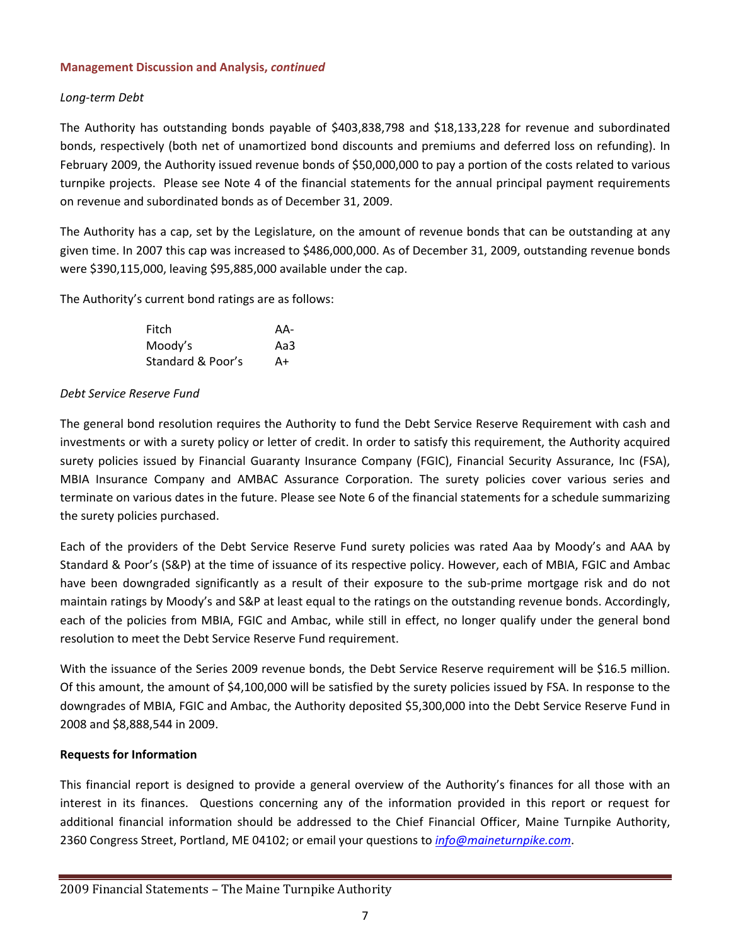# *Long‐term Debt*

The Authority has outstanding bonds payable of \$403,838,798 and \$18,133,228 for revenue and subordinated bonds, respectively (both net of unamortized bond discounts and premiums and deferred loss on refunding). In February 2009, the Authority issued revenue bonds of \$50,000,000 to pay a portion of the costs related to various turnpike projects. Please see Note 4 of the financial statements for the annual principal payment requirements on revenue and subordinated bonds as of December 31, 2009.

The Authority has a cap, set by the Legislature, on the amount of revenue bonds that can be outstanding at any given time. In 2007 this cap was increased to \$486,000,000. As of December 31, 2009, outstanding revenue bonds were \$390,115,000, leaving \$95,885,000 available under the cap.

The Authority's current bond ratings are as follows:

| Fitch             | AA- |
|-------------------|-----|
| Moody's           | Aa3 |
| Standard & Poor's | A+  |

#### *Debt Service Reserve Fund*

The general bond resolution requires the Authority to fund the Debt Service Reserve Requirement with cash and investments or with a surety policy or letter of credit. In order to satisfy this requirement, the Authority acquired surety policies issued by Financial Guaranty Insurance Company (FGIC), Financial Security Assurance, Inc (FSA), MBIA Insurance Company and AMBAC Assurance Corporation. The surety policies cover various series and terminate on various dates in the future. Please see Note 6 of the financial statements for a schedule summarizing the surety policies purchased.

Each of the providers of the Debt Service Reserve Fund surety policies was rated Aaa by Moody's and AAA by Standard & Poor's (S&P) at the time of issuance of its respective policy. However, each of MBIA, FGIC and Ambac have been downgraded significantly as a result of their exposure to the sub-prime mortgage risk and do not maintain ratings by Moody's and S&P at least equal to the ratings on the outstanding revenue bonds. Accordingly, each of the policies from MBIA, FGIC and Ambac, while still in effect, no longer qualify under the general bond resolution to meet the Debt Service Reserve Fund requirement.

With the issuance of the Series 2009 revenue bonds, the Debt Service Reserve requirement will be \$16.5 million. Of this amount, the amount of \$4,100,000 will be satisfied by the surety policies issued by FSA. In response to the downgrades of MBIA, FGIC and Ambac, the Authority deposited \$5,300,000 into the Debt Service Reserve Fund in 2008 and \$8,888,544 in 2009.

#### **Requests for Information**

This financial report is designed to provide a general overview of the Authority's finances for all those with an interest in its finances. Questions concerning any of the information provided in this report or request for additional financial information should be addressed to the Chief Financial Officer, Maine Turnpike Authority, 2360 Congress Street, Portland, ME 04102; or email your questions to *info@maineturnpike.com*.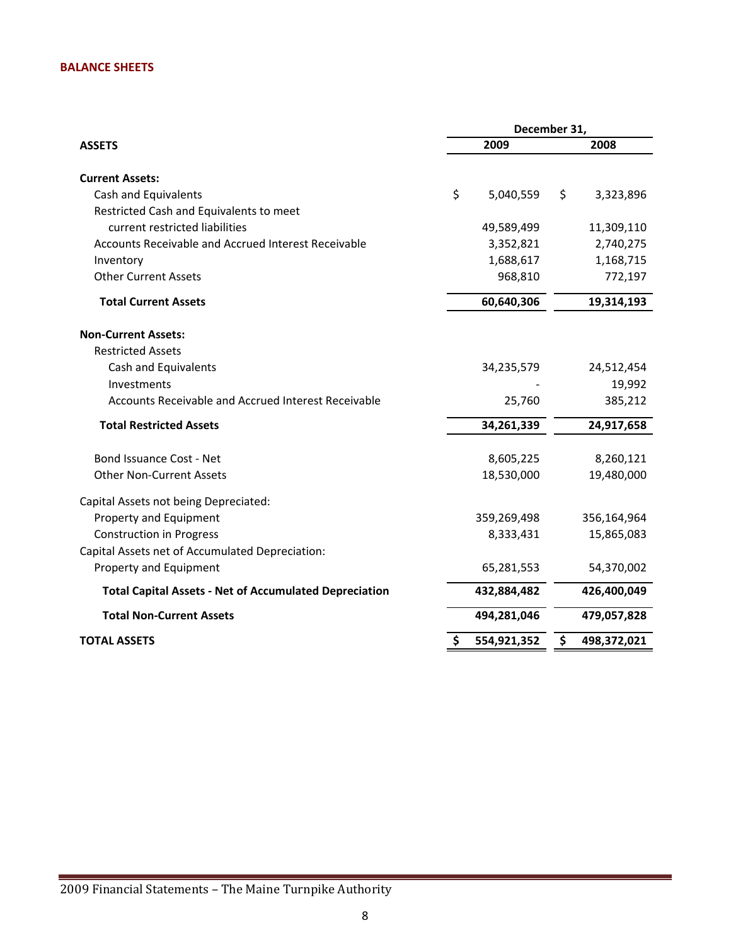### **BALANCE SHEETS**

|                                                               | December 31, |             |            |             |  |
|---------------------------------------------------------------|--------------|-------------|------------|-------------|--|
| <b>ASSETS</b>                                                 | 2009         |             |            | 2008        |  |
| <b>Current Assets:</b>                                        |              |             |            |             |  |
| Cash and Equivalents                                          | \$           | 5,040,559   | \$         | 3,323,896   |  |
| Restricted Cash and Equivalents to meet                       |              |             |            |             |  |
| current restricted liabilities                                |              | 49,589,499  |            | 11,309,110  |  |
| Accounts Receivable and Accrued Interest Receivable           |              | 3,352,821   |            | 2,740,275   |  |
| Inventory                                                     |              | 1,688,617   |            | 1,168,715   |  |
| <b>Other Current Assets</b>                                   |              | 968,810     |            | 772,197     |  |
| <b>Total Current Assets</b>                                   |              | 60,640,306  | 19,314,193 |             |  |
| <b>Non-Current Assets:</b>                                    |              |             |            |             |  |
| <b>Restricted Assets</b>                                      |              |             |            |             |  |
| Cash and Equivalents                                          |              | 34,235,579  |            | 24,512,454  |  |
| Investments                                                   |              |             |            | 19,992      |  |
| Accounts Receivable and Accrued Interest Receivable           |              | 25,760      |            | 385,212     |  |
| <b>Total Restricted Assets</b>                                | 34,261,339   |             |            | 24,917,658  |  |
| Bond Issuance Cost - Net                                      |              | 8,605,225   |            | 8,260,121   |  |
| <b>Other Non-Current Assets</b>                               |              | 18,530,000  |            | 19,480,000  |  |
| Capital Assets not being Depreciated:                         |              |             |            |             |  |
| Property and Equipment                                        |              | 359,269,498 |            | 356,164,964 |  |
| <b>Construction in Progress</b>                               |              | 8,333,431   |            | 15,865,083  |  |
| Capital Assets net of Accumulated Depreciation:               |              |             |            |             |  |
| Property and Equipment                                        |              | 65,281,553  |            | 54,370,002  |  |
| <b>Total Capital Assets - Net of Accumulated Depreciation</b> |              | 432,884,482 |            | 426,400,049 |  |
| <b>Total Non-Current Assets</b>                               |              | 494,281,046 |            | 479,057,828 |  |
| <b>TOTAL ASSETS</b>                                           | \$           | 554,921,352 | \$         | 498,372,021 |  |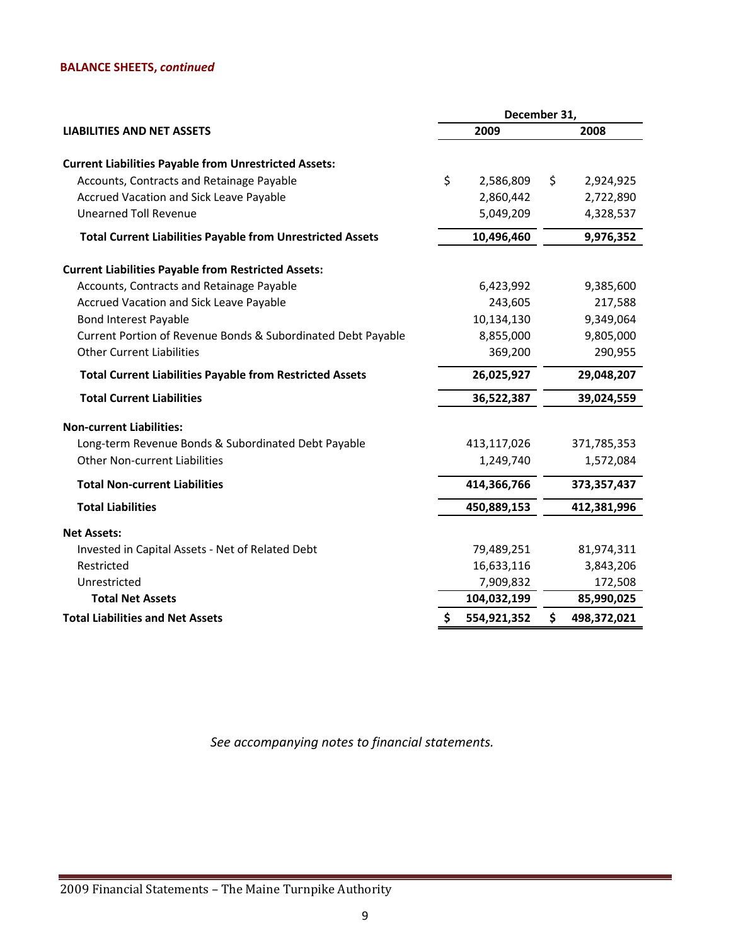# **BALANCE SHEETS,** *continued*

|                                                                   | December 31, |             |      |               |  |
|-------------------------------------------------------------------|--------------|-------------|------|---------------|--|
| <b>LIABILITIES AND NET ASSETS</b>                                 |              | 2009        | 2008 |               |  |
| <b>Current Liabilities Payable from Unrestricted Assets:</b>      |              |             |      |               |  |
| Accounts, Contracts and Retainage Payable                         | \$           | 2,586,809   | \$   | 2,924,925     |  |
| Accrued Vacation and Sick Leave Payable                           |              | 2,860,442   |      | 2,722,890     |  |
| <b>Unearned Toll Revenue</b>                                      |              | 5,049,209   |      | 4,328,537     |  |
| <b>Total Current Liabilities Payable from Unrestricted Assets</b> |              | 10,496,460  |      | 9,976,352     |  |
| <b>Current Liabilities Payable from Restricted Assets:</b>        |              |             |      |               |  |
| Accounts, Contracts and Retainage Payable                         |              | 6,423,992   |      | 9,385,600     |  |
| Accrued Vacation and Sick Leave Payable                           |              | 243,605     |      | 217,588       |  |
| <b>Bond Interest Payable</b>                                      |              | 10,134,130  |      | 9,349,064     |  |
| Current Portion of Revenue Bonds & Subordinated Debt Payable      |              | 8,855,000   |      | 9,805,000     |  |
| <b>Other Current Liabilities</b>                                  |              | 369,200     |      | 290,955       |  |
| <b>Total Current Liabilities Payable from Restricted Assets</b>   |              | 26,025,927  |      | 29,048,207    |  |
| <b>Total Current Liabilities</b>                                  | 36,522,387   |             |      | 39,024,559    |  |
| <b>Non-current Liabilities:</b>                                   |              |             |      |               |  |
| Long-term Revenue Bonds & Subordinated Debt Payable               |              | 413,117,026 |      | 371,785,353   |  |
| <b>Other Non-current Liabilities</b>                              |              | 1,249,740   |      | 1,572,084     |  |
| <b>Total Non-current Liabilities</b>                              |              | 414,366,766 |      | 373, 357, 437 |  |
| <b>Total Liabilities</b>                                          |              | 450,889,153 |      | 412,381,996   |  |
| <b>Net Assets:</b>                                                |              |             |      |               |  |
| Invested in Capital Assets - Net of Related Debt                  |              | 79,489,251  |      | 81,974,311    |  |
| Restricted                                                        |              | 16,633,116  |      | 3,843,206     |  |
| Unrestricted                                                      |              | 7,909,832   |      | 172,508       |  |
| <b>Total Net Assets</b>                                           |              | 104,032,199 |      | 85,990,025    |  |
| <b>Total Liabilities and Net Assets</b>                           | \$           | 554,921,352 | \$   | 498,372,021   |  |

*See accompanying notes to financial statements.*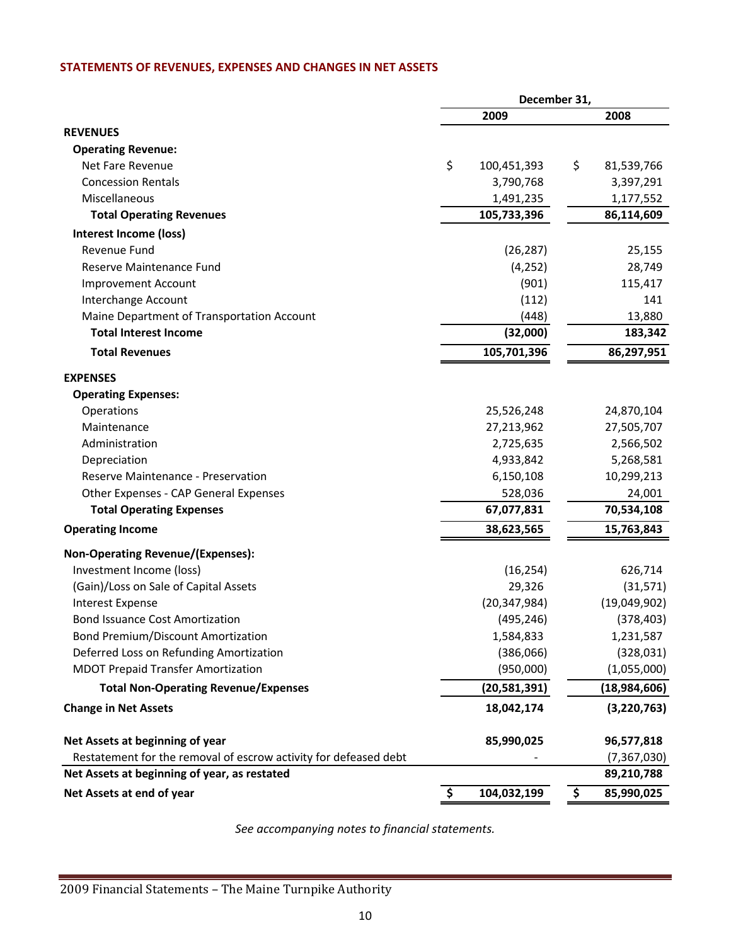# **STATEMENTS OF REVENUES, EXPENSES AND CHANGES IN NET ASSETS**

|                                                                  | December 31, |                |    |               |
|------------------------------------------------------------------|--------------|----------------|----|---------------|
|                                                                  |              | 2009           |    | 2008          |
| <b>REVENUES</b>                                                  |              |                |    |               |
| <b>Operating Revenue:</b>                                        |              |                |    |               |
| Net Fare Revenue                                                 | \$           | 100,451,393    | \$ | 81,539,766    |
| <b>Concession Rentals</b>                                        |              | 3,790,768      |    | 3,397,291     |
| Miscellaneous                                                    |              | 1,491,235      |    | 1,177,552     |
| <b>Total Operating Revenues</b>                                  |              | 105,733,396    |    | 86,114,609    |
| Interest Income (loss)                                           |              |                |    |               |
| Revenue Fund                                                     |              | (26, 287)      |    | 25,155        |
| Reserve Maintenance Fund                                         |              | (4, 252)       |    | 28,749        |
| <b>Improvement Account</b>                                       |              | (901)          |    | 115,417       |
| Interchange Account                                              |              | (112)          |    | 141           |
| Maine Department of Transportation Account                       |              | (448)          |    | 13,880        |
| <b>Total Interest Income</b>                                     |              | (32,000)       |    | 183,342       |
| <b>Total Revenues</b>                                            |              | 105,701,396    |    | 86,297,951    |
| <b>EXPENSES</b>                                                  |              |                |    |               |
| <b>Operating Expenses:</b>                                       |              |                |    |               |
| Operations                                                       |              | 25,526,248     |    | 24,870,104    |
| Maintenance                                                      |              | 27,213,962     |    | 27,505,707    |
| Administration                                                   |              | 2,725,635      |    | 2,566,502     |
| Depreciation                                                     |              | 4,933,842      |    | 5,268,581     |
| Reserve Maintenance - Preservation                               |              | 6,150,108      |    | 10,299,213    |
| Other Expenses - CAP General Expenses                            |              | 528,036        |    | 24,001        |
| <b>Total Operating Expenses</b>                                  |              | 67,077,831     |    | 70,534,108    |
| <b>Operating Income</b>                                          |              | 38,623,565     |    | 15,763,843    |
| Non-Operating Revenue/(Expenses):                                |              |                |    |               |
| Investment Income (loss)                                         |              | (16, 254)      |    | 626,714       |
| (Gain)/Loss on Sale of Capital Assets                            |              | 29,326         |    | (31,571)      |
| <b>Interest Expense</b>                                          |              | (20, 347, 984) |    | (19,049,902)  |
| <b>Bond Issuance Cost Amortization</b>                           |              | (495, 246)     |    | (378, 403)    |
| <b>Bond Premium/Discount Amortization</b>                        |              | 1,584,833      |    | 1,231,587     |
| Deferred Loss on Refunding Amortization                          |              | (386,066)      |    | (328, 031)    |
| <b>MDOT Prepaid Transfer Amortization</b>                        |              | (950,000)      |    | (1,055,000)   |
| <b>Total Non-Operating Revenue/Expenses</b>                      |              | (20,581,391)   |    | (18,984,606)  |
| <b>Change in Net Assets</b>                                      |              | 18,042,174     |    | (3, 220, 763) |
| Net Assets at beginning of year                                  |              | 85,990,025     |    | 96,577,818    |
| Restatement for the removal of escrow activity for defeased debt |              |                |    | (7, 367, 030) |
| Net Assets at beginning of year, as restated                     |              |                |    | 89,210,788    |
| Net Assets at end of year                                        | \$           | 104,032,199    | \$ | 85,990,025    |

*See accompanying notes to financial statements.*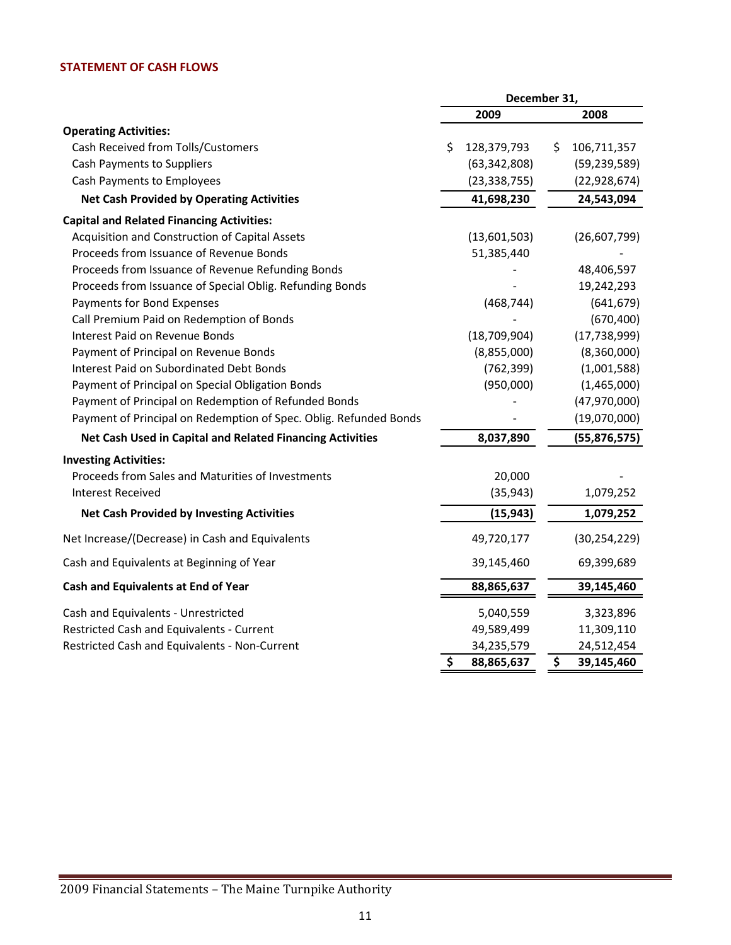# **STATEMENT OF CASH FLOWS**

|                                                                   | December 31,   |                   |  |  |
|-------------------------------------------------------------------|----------------|-------------------|--|--|
|                                                                   | 2009           | 2008              |  |  |
| <b>Operating Activities:</b>                                      |                |                   |  |  |
| Cash Received from Tolls/Customers<br>\$                          | 128,379,793    | 106,711,357<br>\$ |  |  |
| Cash Payments to Suppliers                                        | (63, 342, 808) | (59, 239, 589)    |  |  |
| Cash Payments to Employees                                        | (23, 338, 755) | (22, 928, 674)    |  |  |
| <b>Net Cash Provided by Operating Activities</b>                  | 41,698,230     | 24,543,094        |  |  |
| <b>Capital and Related Financing Activities:</b>                  |                |                   |  |  |
| Acquisition and Construction of Capital Assets                    | (13,601,503)   | (26,607,799)      |  |  |
| Proceeds from Issuance of Revenue Bonds                           | 51,385,440     |                   |  |  |
| Proceeds from Issuance of Revenue Refunding Bonds                 |                | 48,406,597        |  |  |
| Proceeds from Issuance of Special Oblig. Refunding Bonds          |                | 19,242,293        |  |  |
| Payments for Bond Expenses                                        | (468, 744)     | (641, 679)        |  |  |
| Call Premium Paid on Redemption of Bonds                          |                | (670, 400)        |  |  |
| Interest Paid on Revenue Bonds                                    | (18, 709, 904) | (17, 738, 999)    |  |  |
| Payment of Principal on Revenue Bonds                             | (8,855,000)    | (8,360,000)       |  |  |
| <b>Interest Paid on Subordinated Debt Bonds</b>                   | (762, 399)     | (1,001,588)       |  |  |
| Payment of Principal on Special Obligation Bonds                  | (950,000)      | (1,465,000)       |  |  |
| Payment of Principal on Redemption of Refunded Bonds              |                | (47,970,000)      |  |  |
| Payment of Principal on Redemption of Spec. Oblig. Refunded Bonds |                | (19,070,000)      |  |  |
| Net Cash Used in Capital and Related Financing Activities         | 8,037,890      | (55, 876, 575)    |  |  |
| <b>Investing Activities:</b>                                      |                |                   |  |  |
| Proceeds from Sales and Maturities of Investments                 | 20,000         |                   |  |  |
| <b>Interest Received</b>                                          | (35, 943)      | 1,079,252         |  |  |
| <b>Net Cash Provided by Investing Activities</b>                  | (15, 943)      | 1,079,252         |  |  |
| Net Increase/(Decrease) in Cash and Equivalents                   | 49,720,177     | (30, 254, 229)    |  |  |
| Cash and Equivalents at Beginning of Year                         | 39,145,460     | 69,399,689        |  |  |
| Cash and Equivalents at End of Year                               | 88,865,637     | 39,145,460        |  |  |
| Cash and Equivalents - Unrestricted                               | 5,040,559      | 3,323,896         |  |  |
| Restricted Cash and Equivalents - Current                         | 49,589,499     | 11,309,110        |  |  |
| Restricted Cash and Equivalents - Non-Current                     | 34,235,579     | 24,512,454        |  |  |
| \$                                                                | 88,865,637     | \$<br>39,145,460  |  |  |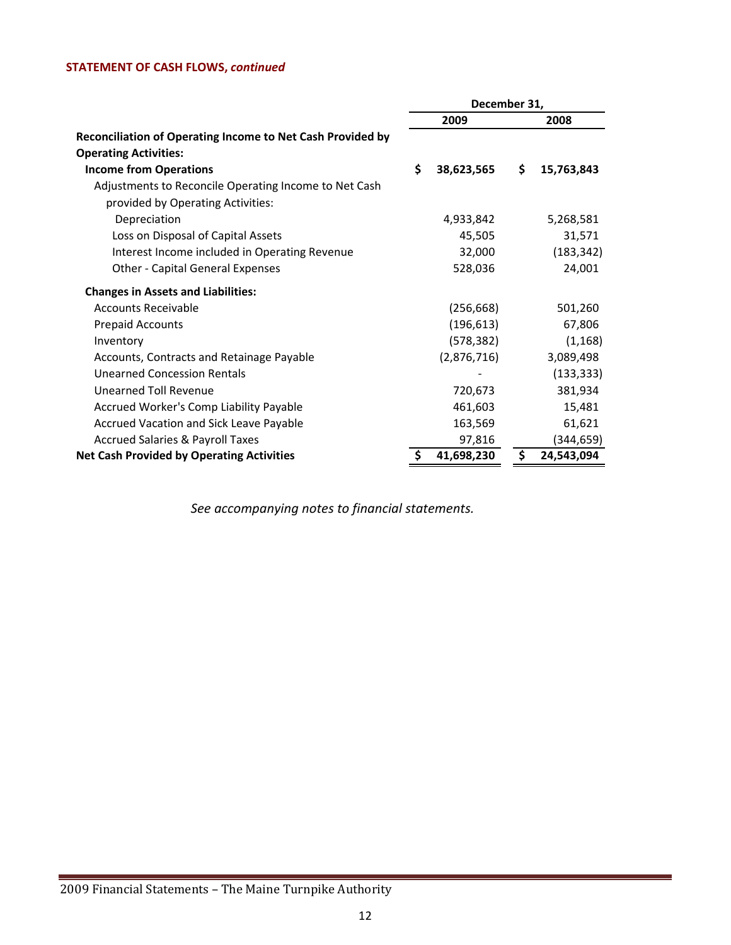# **STATEMENT OF CASH FLOWS,** *continued*

|                                                            | December 31, |             |    |            |
|------------------------------------------------------------|--------------|-------------|----|------------|
|                                                            |              | 2009        |    | 2008       |
| Reconciliation of Operating Income to Net Cash Provided by |              |             |    |            |
| <b>Operating Activities:</b>                               |              |             |    |            |
| <b>Income from Operations</b>                              | \$           | 38,623,565  | \$ | 15,763,843 |
| Adjustments to Reconcile Operating Income to Net Cash      |              |             |    |            |
| provided by Operating Activities:                          |              |             |    |            |
| Depreciation                                               |              | 4,933,842   |    | 5,268,581  |
| Loss on Disposal of Capital Assets                         |              | 45,505      |    | 31,571     |
| Interest Income included in Operating Revenue              |              | 32,000      |    | (183, 342) |
| <b>Other - Capital General Expenses</b>                    |              | 528,036     |    | 24,001     |
| <b>Changes in Assets and Liabilities:</b>                  |              |             |    |            |
| <b>Accounts Receivable</b>                                 |              | (256, 668)  |    | 501,260    |
| <b>Prepaid Accounts</b>                                    |              | (196, 613)  |    | 67,806     |
| Inventory                                                  |              | (578, 382)  |    | (1, 168)   |
| Accounts, Contracts and Retainage Payable                  |              | (2,876,716) |    | 3,089,498  |
| Unearned Concession Rentals                                |              |             |    | (133, 333) |
| Unearned Toll Revenue                                      |              | 720,673     |    | 381,934    |
| Accrued Worker's Comp Liability Payable                    |              | 461,603     |    | 15,481     |
| Accrued Vacation and Sick Leave Payable                    |              | 163,569     |    | 61,621     |
| <b>Accrued Salaries &amp; Payroll Taxes</b>                |              | 97,816      |    | (344,659)  |
| <b>Net Cash Provided by Operating Activities</b>           |              | 41,698,230  | S  | 24,543,094 |

*See accompanying notes to financial statements.*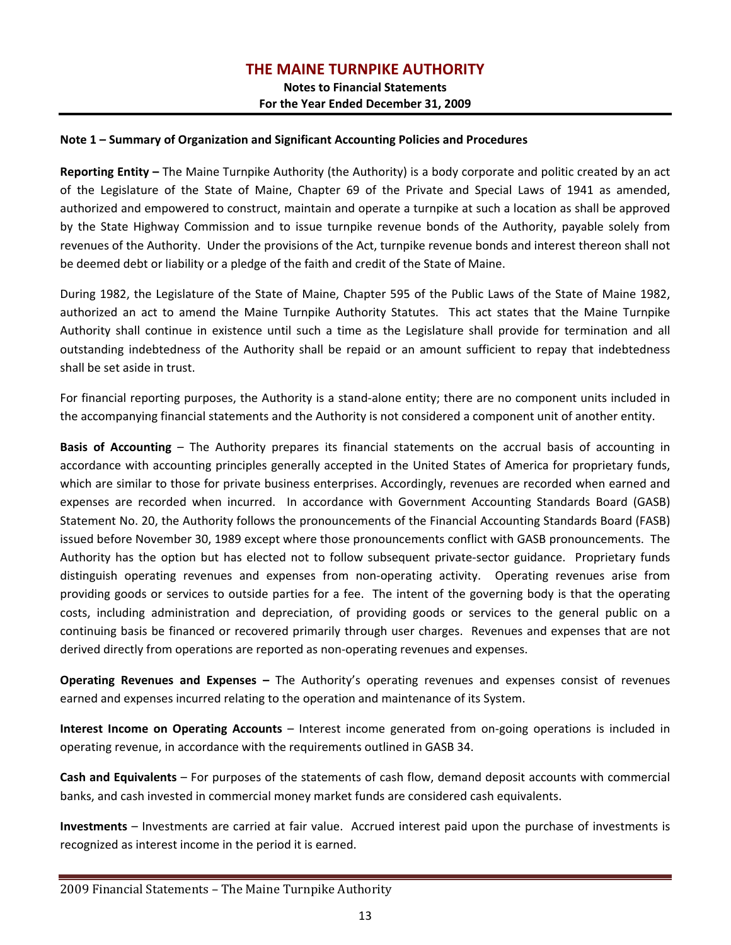# **THE MAINE TURNPIKE AUTHORITY**

**Notes to Financial Statements For the Year Ended December 31, 2009**

#### **Note 1 – Summary of Organization and Significant Accounting Policies and Procedures**

**Reporting Entity –** The Maine Turnpike Authority (the Authority) is a body corporate and politic created by an act of the Legislature of the State of Maine, Chapter 69 of the Private and Special Laws of 1941 as amended, authorized and empowered to construct, maintain and operate a turnpike at such a location as shall be approved by the State Highway Commission and to issue turnpike revenue bonds of the Authority, payable solely from revenues of the Authority. Under the provisions of the Act, turnpike revenue bonds and interest thereon shall not be deemed debt or liability or a pledge of the faith and credit of the State of Maine.

During 1982, the Legislature of the State of Maine, Chapter 595 of the Public Laws of the State of Maine 1982, authorized an act to amend the Maine Turnpike Authority Statutes. This act states that the Maine Turnpike Authority shall continue in existence until such a time as the Legislature shall provide for termination and all outstanding indebtedness of the Authority shall be repaid or an amount sufficient to repay that indebtedness shall be set aside in trust.

For financial reporting purposes, the Authority is a stand‐alone entity; there are no component units included in the accompanying financial statements and the Authority is not considered a component unit of another entity.

**Basis of Accounting** – The Authority prepares its financial statements on the accrual basis of accounting in accordance with accounting principles generally accepted in the United States of America for proprietary funds, which are similar to those for private business enterprises. Accordingly, revenues are recorded when earned and expenses are recorded when incurred. In accordance with Government Accounting Standards Board (GASB) Statement No. 20, the Authority follows the pronouncements of the Financial Accounting Standards Board (FASB) issued before November 30, 1989 except where those pronouncements conflict with GASB pronouncements. The Authority has the option but has elected not to follow subsequent private-sector guidance. Proprietary funds distinguish operating revenues and expenses from non-operating activity. Operating revenues arise from providing goods or services to outside parties for a fee. The intent of the governing body is that the operating costs, including administration and depreciation, of providing goods or services to the general public on a continuing basis be financed or recovered primarily through user charges. Revenues and expenses that are not derived directly from operations are reported as non‐operating revenues and expenses.

**Operating Revenues and Expenses –** The Authority's operating revenues and expenses consist of revenues earned and expenses incurred relating to the operation and maintenance of its System.

**Interest Income on Operating Accounts** – Interest income generated from on‐going operations is included in operating revenue, in accordance with the requirements outlined in GASB 34.

**Cash and Equivalents** – For purposes of the statements of cash flow, demand deposit accounts with commercial banks, and cash invested in commercial money market funds are considered cash equivalents.

**Investments** – Investments are carried at fair value. Accrued interest paid upon the purchase of investments is recognized as interest income in the period it is earned.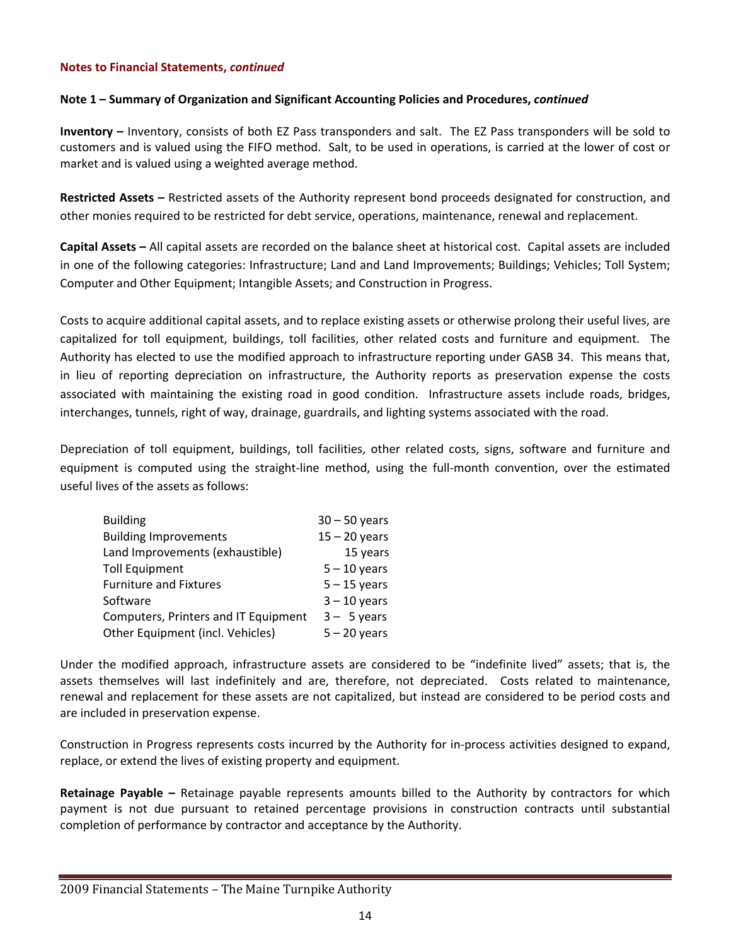#### **Note 1 – Summary of Organization and Significant Accounting Policies and Procedures,** *continued*

**Inventory –** Inventory, consists of both EZ Pass transponders and salt. The EZ Pass transponders will be sold to customers and is valued using the FIFO method. Salt, to be used in operations, is carried at the lower of cost or market and is valued using a weighted average method.

**Restricted Assets –** Restricted assets of the Authority represent bond proceeds designated for construction, and other monies required to be restricted for debt service, operations, maintenance, renewal and replacement.

**Capital Assets –** All capital assets are recorded on the balance sheet at historical cost. Capital assets are included in one of the following categories: Infrastructure; Land and Land Improvements; Buildings; Vehicles; Toll System; Computer and Other Equipment; Intangible Assets; and Construction in Progress.

Costs to acquire additional capital assets, and to replace existing assets or otherwise prolong their useful lives, are capitalized for toll equipment, buildings, toll facilities, other related costs and furniture and equipment. The Authority has elected to use the modified approach to infrastructure reporting under GASB 34. This means that, in lieu of reporting depreciation on infrastructure, the Authority reports as preservation expense the costs associated with maintaining the existing road in good condition. Infrastructure assets include roads, bridges, interchanges, tunnels, right of way, drainage, guardrails, and lighting systems associated with the road.

Depreciation of toll equipment, buildings, toll facilities, other related costs, signs, software and furniture and equipment is computed using the straight-line method, using the full-month convention, over the estimated useful lives of the assets as follows:

| <b>Building</b>                      | $30 - 50$ years |
|--------------------------------------|-----------------|
| <b>Building Improvements</b>         | $15 - 20$ years |
| Land Improvements (exhaustible)      | 15 years        |
| <b>Toll Equipment</b>                | $5 - 10$ years  |
| <b>Furniture and Fixtures</b>        | $5 - 15$ years  |
| Software                             | $3 - 10$ years  |
| Computers, Printers and IT Equipment | $3 - 5$ years   |
| Other Equipment (incl. Vehicles)     | $5 - 20$ years  |

Under the modified approach, infrastructure assets are considered to be "indefinite lived" assets; that is, the assets themselves will last indefinitely and are, therefore, not depreciated. Costs related to maintenance, renewal and replacement for these assets are not capitalized, but instead are considered to be period costs and are included in preservation expense.

Construction in Progress represents costs incurred by the Authority for in‐process activities designed to expand, replace, or extend the lives of existing property and equipment.

**Retainage Payable –** Retainage payable represents amounts billed to the Authority by contractors for which payment is not due pursuant to retained percentage provisions in construction contracts until substantial completion of performance by contractor and acceptance by the Authority.

#### 2009 Financial Statements – The Maine Turnpike Authority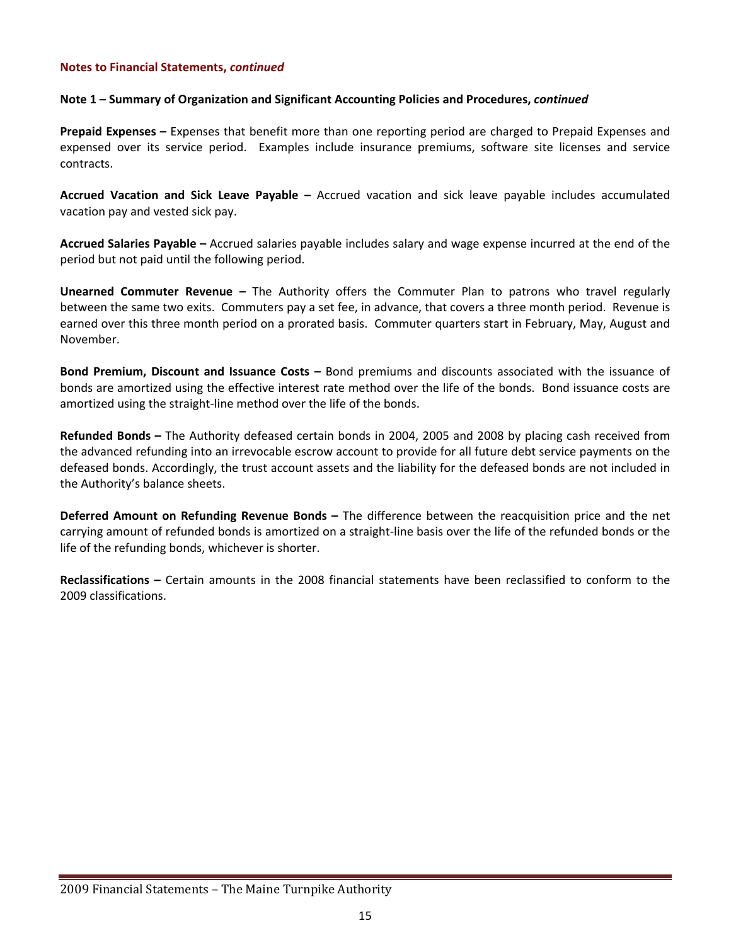#### **Note 1 – Summary of Organization and Significant Accounting Policies and Procedures,** *continued*

**Prepaid Expenses –** Expenses that benefit more than one reporting period are charged to Prepaid Expenses and expensed over its service period. Examples include insurance premiums, software site licenses and service contracts.

**Accrued Vacation and Sick Leave Payable –** Accrued vacation and sick leave payable includes accumulated vacation pay and vested sick pay.

**Accrued Salaries Payable –** Accrued salaries payable includes salary and wage expense incurred at the end of the period but not paid until the following period.

**Unearned Commuter Revenue –** The Authority offers the Commuter Plan to patrons who travel regularly between the same two exits. Commuters pay a set fee, in advance, that covers a three month period. Revenue is earned over this three month period on a prorated basis. Commuter quarters start in February, May, August and November.

**Bond Premium, Discount and Issuance Costs –** Bond premiums and discounts associated with the issuance of bonds are amortized using the effective interest rate method over the life of the bonds. Bond issuance costs are amortized using the straight‐line method over the life of the bonds.

**Refunded Bonds –** The Authority defeased certain bonds in 2004, 2005 and 2008 by placing cash received from the advanced refunding into an irrevocable escrow account to provide for all future debt service payments on the defeased bonds. Accordingly, the trust account assets and the liability for the defeased bonds are not included in the Authority's balance sheets.

**Deferred Amount on Refunding Revenue Bonds –** The difference between the reacquisition price and the net carrying amount of refunded bonds is amortized on a straight‐line basis over the life of the refunded bonds or the life of the refunding bonds, whichever is shorter.

**Reclassifications –** Certain amounts in the 2008 financial statements have been reclassified to conform to the 2009 classifications.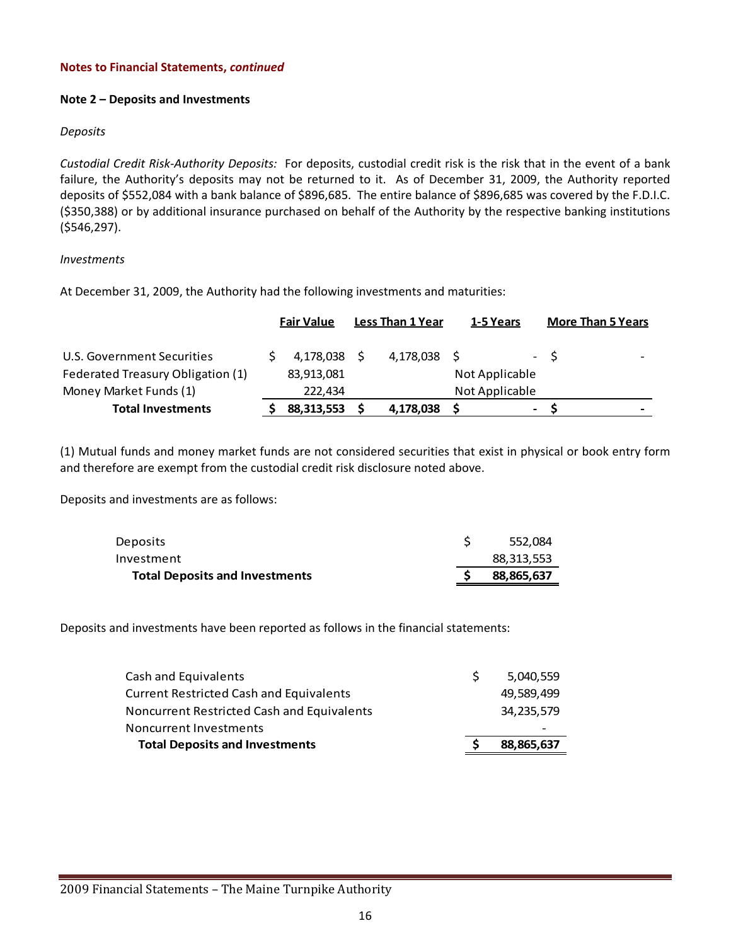#### **Note 2 – Deposits and Investments**

#### *Deposits*

*Custodial Credit Risk‐Authority Deposits:* For deposits, custodial credit risk is the risk that in the event of a bank failure, the Authority's deposits may not be returned to it. As of December 31, 2009, the Authority reported deposits of \$552,084 with a bank balance of \$896,685. The entire balance of \$896,685 was covered by the F.D.I.C. (\$350,388) or by additional insurance purchased on behalf of the Authority by the respective banking institutions (\$546,297).

#### *Investments*

At December 31, 2009, the Authority had the following investments and maturities:

|                                   | <b>Fair Value</b> | <b>Less Than 1 Year</b> | 1-5 Years      |                | <b>More Than 5 Years</b> |
|-----------------------------------|-------------------|-------------------------|----------------|----------------|--------------------------|
| U.S. Government Securities        | 4,178,038         | 4,178,038               |                | $-5$           | $\overline{\phantom{0}}$ |
| Federated Treasury Obligation (1) | 83,913,081        |                         | Not Applicable |                |                          |
| Money Market Funds (1)            | 222.434           |                         | Not Applicable |                |                          |
| <b>Total Investments</b>          | 88,313,553        | 4,178,038               |                | $\blacksquare$ | $\overline{\phantom{0}}$ |

(1) Mutual funds and money market funds are not considered securities that exist in physical or book entry form and therefore are exempt from the custodial credit risk disclosure noted above.

Deposits and investments are as follows:

| <b>Deposits</b>                       | 552.084    |
|---------------------------------------|------------|
| Investment                            | 88,313,553 |
| <b>Total Deposits and Investments</b> | 88,865,637 |

Deposits and investments have been reported as follows in the financial statements:

| <b>Total Deposits and Investments</b>             | 88,865,637 |
|---------------------------------------------------|------------|
| Noncurrent Investments                            |            |
| <b>Noncurrent Restricted Cash and Equivalents</b> | 34,235,579 |
| <b>Current Restricted Cash and Equivalents</b>    | 49.589.499 |
| Cash and Equivalents                              | 5,040,559  |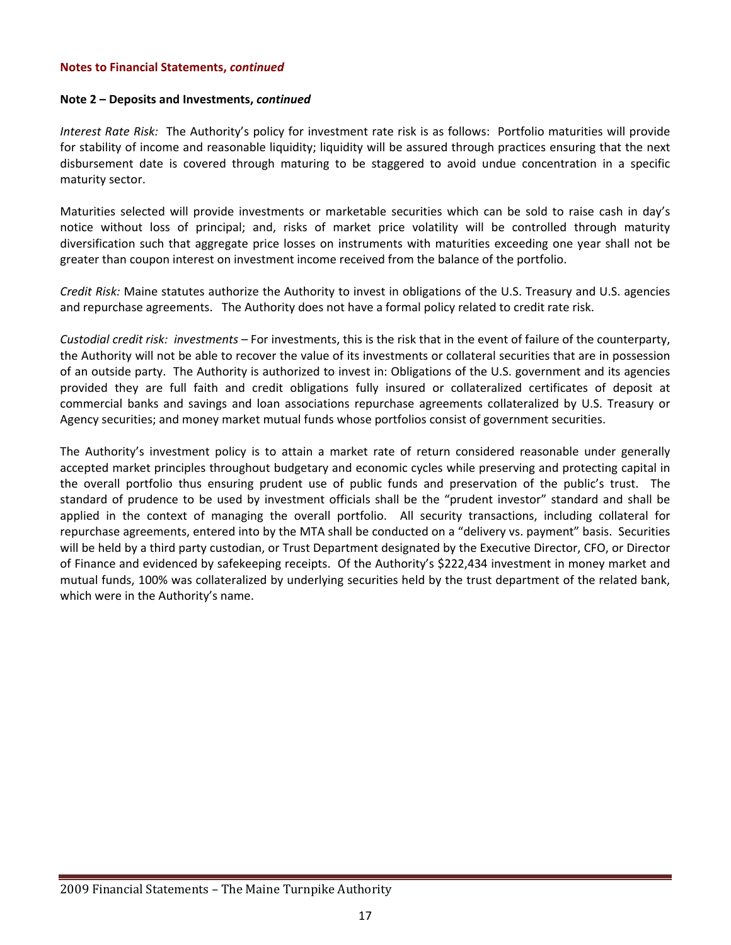#### **Note 2 – Deposits and Investments,** *continued*

*Interest Rate Risk:* The Authority's policy for investment rate risk is as follows: Portfolio maturities will provide for stability of income and reasonable liquidity; liquidity will be assured through practices ensuring that the next disbursement date is covered through maturing to be staggered to avoid undue concentration in a specific maturity sector.

Maturities selected will provide investments or marketable securities which can be sold to raise cash in day's notice without loss of principal; and, risks of market price volatility will be controlled through maturity diversification such that aggregate price losses on instruments with maturities exceeding one year shall not be greater than coupon interest on investment income received from the balance of the portfolio.

*Credit Risk:* Maine statutes authorize the Authority to invest in obligations of the U.S. Treasury and U.S. agencies and repurchase agreements. The Authority does not have a formal policy related to credit rate risk.

*Custodial credit risk: investments –* For investments, this is the risk that in the event of failure of the counterparty, the Authority will not be able to recover the value of its investments or collateral securities that are in possession of an outside party. The Authority is authorized to invest in: Obligations of the U.S. government and its agencies provided they are full faith and credit obligations fully insured or collateralized certificates of deposit at commercial banks and savings and loan associations repurchase agreements collateralized by U.S. Treasury or Agency securities; and money market mutual funds whose portfolios consist of government securities.

The Authority's investment policy is to attain a market rate of return considered reasonable under generally accepted market principles throughout budgetary and economic cycles while preserving and protecting capital in the overall portfolio thus ensuring prudent use of public funds and preservation of the public's trust. The standard of prudence to be used by investment officials shall be the "prudent investor" standard and shall be applied in the context of managing the overall portfolio. All security transactions, including collateral for repurchase agreements, entered into by the MTA shall be conducted on a "delivery vs. payment" basis. Securities will be held by a third party custodian, or Trust Department designated by the Executive Director, CFO, or Director of Finance and evidenced by safekeeping receipts. Of the Authority's \$222,434 investment in money market and mutual funds, 100% was collateralized by underlying securities held by the trust department of the related bank, which were in the Authority's name.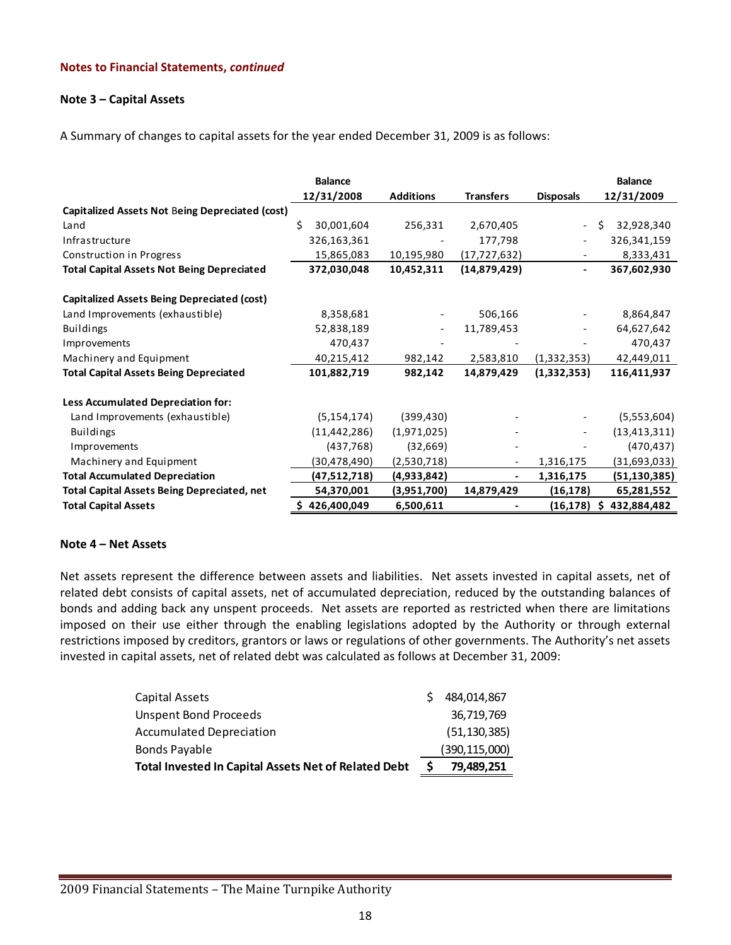#### **Note 3 – Capital Assets**

A Summary of changes to capital assets for the year ended December 31, 2009 is as follows:

|                                                        | <b>Balance</b>   |                          |                  |                          | <b>Balance</b>   |
|--------------------------------------------------------|------------------|--------------------------|------------------|--------------------------|------------------|
|                                                        | 12/31/2008       | <b>Additions</b>         | <b>Transfers</b> | <b>Disposals</b>         | 12/31/2009       |
| <b>Capitalized Assets Not Being Depreciated (cost)</b> |                  |                          |                  |                          |                  |
| Land                                                   | Ś.<br>30,001,604 | 256,331                  | 2,670,405        | $\overline{\phantom{a}}$ | 32,928,340<br>Ŝ. |
| Infrastructure                                         | 326,163,361      |                          | 177,798          | $\overline{\phantom{a}}$ | 326,341,159      |
| Construction in Progress                               | 15,865,083       | 10,195,980               | (17, 727, 632)   |                          | 8,333,431        |
| <b>Total Capital Assets Not Being Depreciated</b>      | 372,030,048      | 10,452,311               | (14, 879, 429)   | $\blacksquare$           | 367,602,930      |
| <b>Capitalized Assets Being Depreciated (cost)</b>     |                  |                          |                  |                          |                  |
| Land Improvements (exhaustible)                        | 8,358,681        |                          | 506,166          |                          | 8,864,847        |
| <b>Buildings</b>                                       | 52,838,189       | $\overline{\phantom{a}}$ | 11,789,453       | $\overline{\phantom{a}}$ | 64,627,642       |
| Improvements                                           | 470,437          |                          |                  |                          | 470,437          |
| Machinery and Equipment                                | 40,215,412       | 982,142                  | 2,583,810        | (1,332,353)              | 42,449,011       |
| <b>Total Capital Assets Being Depreciated</b>          | 101,882,719      | 982,142                  | 14,879,429       | (1,332,353)              | 116,411,937      |
| <b>Less Accumulated Depreciation for:</b>              |                  |                          |                  |                          |                  |
| Land Improvements (exhaustible)                        | (5, 154, 174)    | (399, 430)               |                  |                          | (5,553,604)      |
| <b>Buildings</b>                                       | (11, 442, 286)   | (1,971,025)              |                  |                          | (13, 413, 311)   |
| Improvements                                           | (437,768)        | (32,669)                 |                  |                          | (470, 437)       |
| Machinery and Equipment                                | (30, 478, 490)   | (2,530,718)              |                  | 1,316,175                | (31,693,033)     |
| <b>Total Accumulated Depreciation</b>                  | (47,512,718)     | (4,933,842)              |                  | 1,316,175                | (51, 130, 385)   |
| <b>Total Capital Assets Being Depreciated, net</b>     | 54,370,001       | (3,951,700)              | 14,879,429       | (16, 178)                | 65,281,552       |
| <b>Total Capital Assets</b>                            | \$426,400,049    | 6,500,611                |                  | (16, 178)                | 432,884,482<br>S |

#### **Note 4 – Net Assets**

Net assets represent the difference between assets and liabilities. Net assets invested in capital assets, net of related debt consists of capital assets, net of accumulated depreciation, reduced by the outstanding balances of bonds and adding back any unspent proceeds. Net assets are reported as restricted when there are limitations imposed on their use either through the enabling legislations adopted by the Authority or through external restrictions imposed by creditors, grantors or laws or regulations of other governments. The Authority's net assets invested in capital assets, net of related debt was calculated as follows at December 31, 2009:

| Total Invested In Capital Assets Net of Related Debt |   | 79,489,251      |
|------------------------------------------------------|---|-----------------|
| <b>Bonds Payable</b>                                 |   | (390, 115, 000) |
| Accumulated Depreciation                             |   | (51, 130, 385)  |
| Unspent Bond Proceeds                                |   | 36,719,769      |
| Capital Assets                                       | S | 484,014,867     |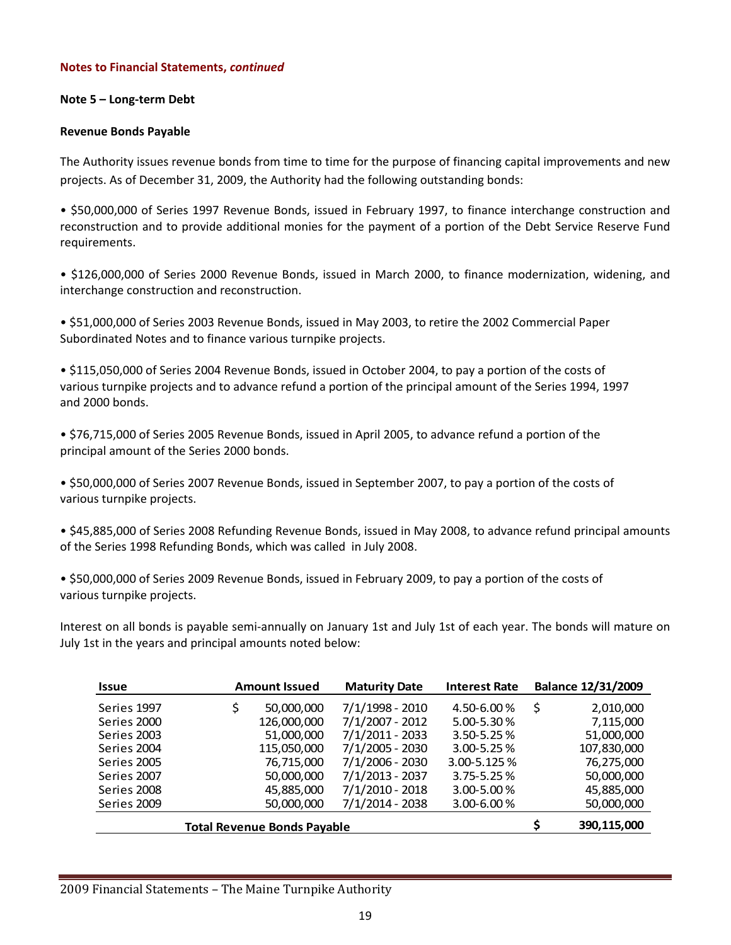### **Note 5 – Long‐term Debt**

### **Revenue Bonds Payable**

The Authority issues revenue bonds from time to time for the purpose of financing capital improvements and new projects. As of December 31, 2009, the Authority had the following outstanding bonds:

• \$50,000,000 of Series 1997 Revenue Bonds, issued in February 1997, to finance interchange construction and reconstruction and to provide additional monies for the payment of a portion of the Debt Service Reserve Fund requirements.

• \$126,000,000 of Series 2000 Revenue Bonds, issued in March 2000, to finance modernization, widening, and interchange construction and reconstruction.

• \$51,000,000 of Series 2003 Revenue Bonds, issued in May 2003, to retire the 2002 Commercial Paper Subordinated Notes and to finance various turnpike projects.

• \$115,050,000 of Series 2004 Revenue Bonds, issued in October 2004, to pay a portion of the costs of various turnpike projects and to advance refund a portion of the principal amount of the Series 1994, 1997 and 2000 bonds.

• \$76,715,000 of Series 2005 Revenue Bonds, issued in April 2005, to advance refund a portion of the principal amount of the Series 2000 bonds.

• \$50,000,000 of Series 2007 Revenue Bonds, issued in September 2007, to pay a portion of the costs of various turnpike projects.

• \$45,885,000 of Series 2008 Refunding Revenue Bonds, issued in May 2008, to advance refund principal amounts of the Series 1998 Refunding Bonds, which was called in July 2008.

• \$50,000,000 of Series 2009 Revenue Bonds, issued in February 2009, to pay a portion of the costs of various turnpike projects.

Interest on all bonds is payable semi‐annually on January 1st and July 1st of each year. The bonds will mature on July 1st in the years and principal amounts noted below:

| <b>Issue</b>                       | <b>Amount Issued</b> |             | <b>Maturity Date</b> | <b>Interest Rate</b> |   | <b>Balance 12/31/2009</b> |
|------------------------------------|----------------------|-------------|----------------------|----------------------|---|---------------------------|
| Series 1997                        | \$                   | 50,000,000  | $7/1/1998 - 2010$    | 4.50-6.00%           | Ŝ | 2,010,000                 |
| Series 2000                        |                      | 126,000,000 | $7/1/2007 - 2012$    | 5.00-5.30%           |   | 7,115,000                 |
| Series 2003                        |                      | 51,000,000  | $7/1/2011 - 2033$    | $3.50 - 5.25 %$      |   | 51,000,000                |
| Series 2004                        |                      | 115,050,000 | $7/1/2005 - 2030$    | $3.00 - 5.25 %$      |   | 107,830,000               |
| Series 2005                        |                      | 76,715,000  | 7/1/2006 - 2030      | 3.00-5.125 %         |   | 76,275,000                |
| Series 2007                        |                      | 50,000,000  | 7/1/2013 - 2037      | $3.75 - 5.25%$       |   | 50,000,000                |
| Series 2008                        |                      | 45,885,000  | $7/1/2010 - 2018$    | 3.00-5.00 %          |   | 45,885,000                |
| Series 2009                        |                      | 50,000,000  | $7/1/2014 - 2038$    | $3.00 - 6.00 %$      |   | 50,000,000                |
| <b>Total Revenue Bonds Payable</b> |                      |             |                      |                      |   | 390,115,000               |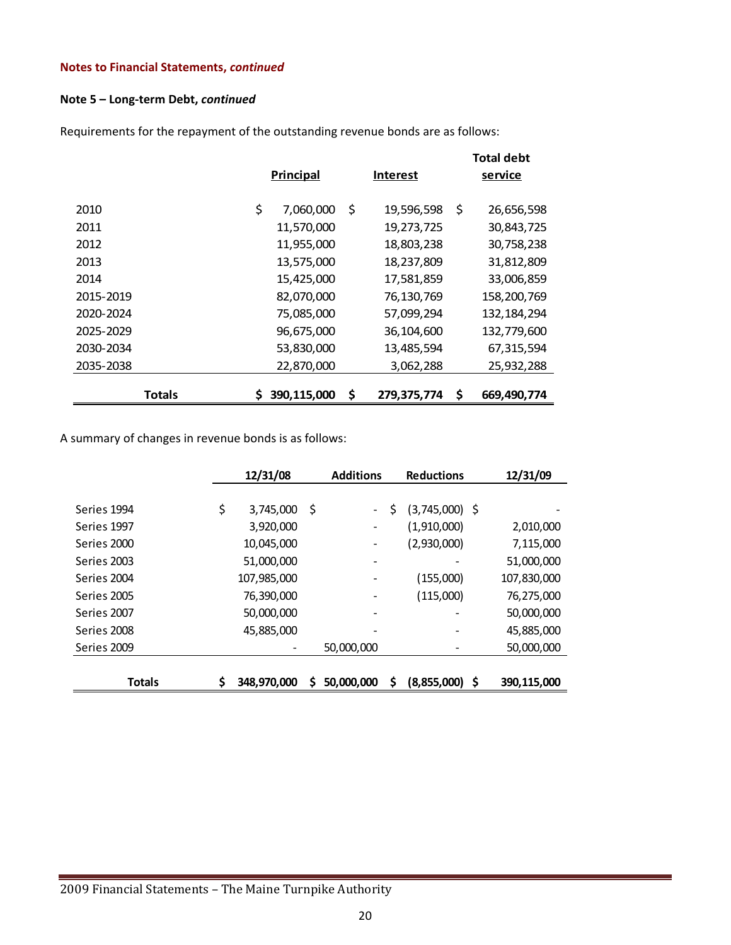# **Note 5 – Long‐term Debt,** *continued*

Requirements for the repayment of the outstanding revenue bonds are as follows:

|           | <b>Principal</b><br><b>Interest</b> |             |    |              | <b>Total debt</b><br>service |               |  |
|-----------|-------------------------------------|-------------|----|--------------|------------------------------|---------------|--|
|           |                                     |             |    |              |                              |               |  |
| 2010      | \$                                  | 7,060,000   | Ś  | 19,596,598   | \$                           | 26,656,598    |  |
| 2011      |                                     | 11,570,000  |    | 19,273,725   |                              | 30,843,725    |  |
| 2012      |                                     | 11,955,000  |    | 18,803,238   |                              | 30,758,238    |  |
| 2013      |                                     | 13,575,000  |    | 18,237,809   |                              | 31,812,809    |  |
| 2014      |                                     | 15,425,000  |    | 17,581,859   |                              | 33,006,859    |  |
| 2015-2019 |                                     | 82,070,000  |    | 76, 130, 769 |                              | 158,200,769   |  |
| 2020-2024 |                                     | 75,085,000  |    | 57,099,294   |                              | 132, 184, 294 |  |
| 2025-2029 |                                     | 96,675,000  |    | 36,104,600   |                              | 132,779,600   |  |
| 2030-2034 |                                     | 53,830,000  |    | 13,485,594   |                              | 67,315,594    |  |
| 2035-2038 |                                     | 22,870,000  |    | 3,062,288    |                              | 25,932,288    |  |
| Totals    | S                                   | 390,115,000 | \$ | 279,375,774  | S                            | 669,490,774   |  |

A summary of changes in revenue bonds is as follows:

|               | 12/31/08          | <b>Additions</b> |            | <b>Reductions</b> |                  |  | 12/31/09    |
|---------------|-------------------|------------------|------------|-------------------|------------------|--|-------------|
|               |                   |                  |            |                   |                  |  |             |
| Series 1994   | \$<br>3,745,000   | \$               |            | \$                | $(3,745,000)$ \$ |  |             |
| Series 1997   | 3,920,000         |                  |            |                   | (1,910,000)      |  | 2,010,000   |
| Series 2000   | 10,045,000        |                  |            |                   | (2,930,000)      |  | 7,115,000   |
| Series 2003   | 51,000,000        |                  |            |                   |                  |  | 51,000,000  |
| Series 2004   | 107,985,000       |                  |            |                   | (155,000)        |  | 107,830,000 |
| Series 2005   | 76,390,000        |                  |            |                   | (115,000)        |  | 76,275,000  |
| Series 2007   | 50,000,000        |                  |            |                   |                  |  | 50,000,000  |
| Series 2008   | 45,885,000        |                  |            |                   |                  |  | 45,885,000  |
| Series 2009   |                   |                  | 50,000,000 |                   |                  |  | 50,000,000  |
|               |                   |                  |            |                   |                  |  |             |
| <b>Totals</b> | \$<br>348,970,000 | S                | 50,000,000 | \$                | $(8,855,000)$ \$ |  | 390,115,000 |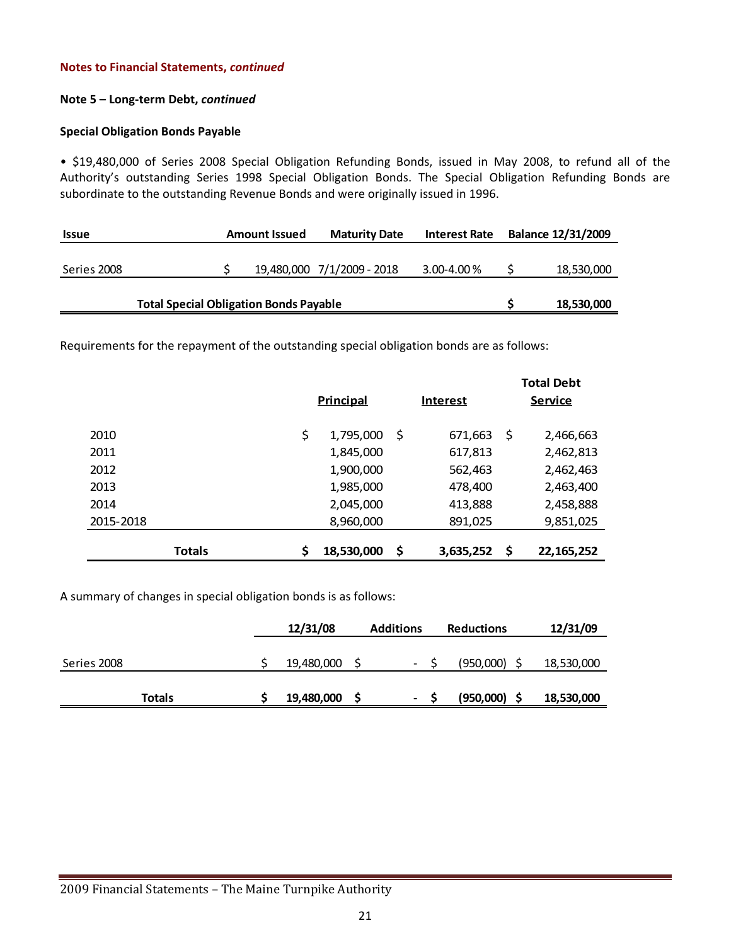#### **Note 5 – Long‐term Debt,** *continued*

#### **Special Obligation Bonds Payable**

• \$19,480,000 of Series 2008 Special Obligation Refunding Bonds, issued in May 2008, to refund all of the Authority's outstanding Series 1998 Special Obligation Bonds. The Special Obligation Refunding Bonds are subordinate to the outstanding Revenue Bonds and were originally issued in 1996.

| <b>Issue</b>                                  | <b>Amount Issued</b> |  | <b>Maturity Date</b><br><b>Interest Rate</b> |            | <b>Balance 12/31/2009</b> |            |
|-----------------------------------------------|----------------------|--|----------------------------------------------|------------|---------------------------|------------|
| Series 2008                                   |                      |  | 19,480,000 7/1/2009 - 2018                   | 3.00-4.00% |                           | 18,530,000 |
|                                               |                      |  |                                              |            |                           |            |
| <b>Total Special Obligation Bonds Payable</b> |                      |  |                                              |            |                           | 18,530,000 |

Requirements for the repayment of the outstanding special obligation bonds are as follows:

|               |                  |                 |           |   | <b>Total Debt</b> |
|---------------|------------------|-----------------|-----------|---|-------------------|
|               | <b>Principal</b> | <b>Interest</b> |           |   | <u>Service</u>    |
|               |                  |                 |           |   |                   |
| 2010          | \$<br>1,795,000  | S               | 671,663   | Ş | 2,466,663         |
| 2011          | 1,845,000        |                 | 617,813   |   | 2,462,813         |
| 2012          | 1,900,000        |                 | 562,463   |   | 2,462,463         |
| 2013          | 1,985,000        |                 | 478,400   |   | 2,463,400         |
| 2014          | 2,045,000        |                 | 413,888   |   | 2,458,888         |
| 2015-2018     | 8,960,000        |                 | 891,025   |   | 9,851,025         |
|               |                  |                 |           |   |                   |
| <b>Totals</b> | \$<br>18,530,000 | \$              | 3,635,252 | S | 22, 165, 252      |

A summary of changes in special obligation bonds is as follows:

|             | 12/31/08 |            | <b>Additions</b><br><b>Reductions</b> |  |           | 12/31/09   |  |
|-------------|----------|------------|---------------------------------------|--|-----------|------------|--|
|             |          |            |                                       |  |           |            |  |
| Series 2008 |          | 19,480,000 | $\overline{\phantom{a}}$              |  | (950,000) | 18,530,000 |  |
| Totals      |          | 19,480,000 | $\qquad \qquad \blacksquare$          |  | (950,000) | 18,530,000 |  |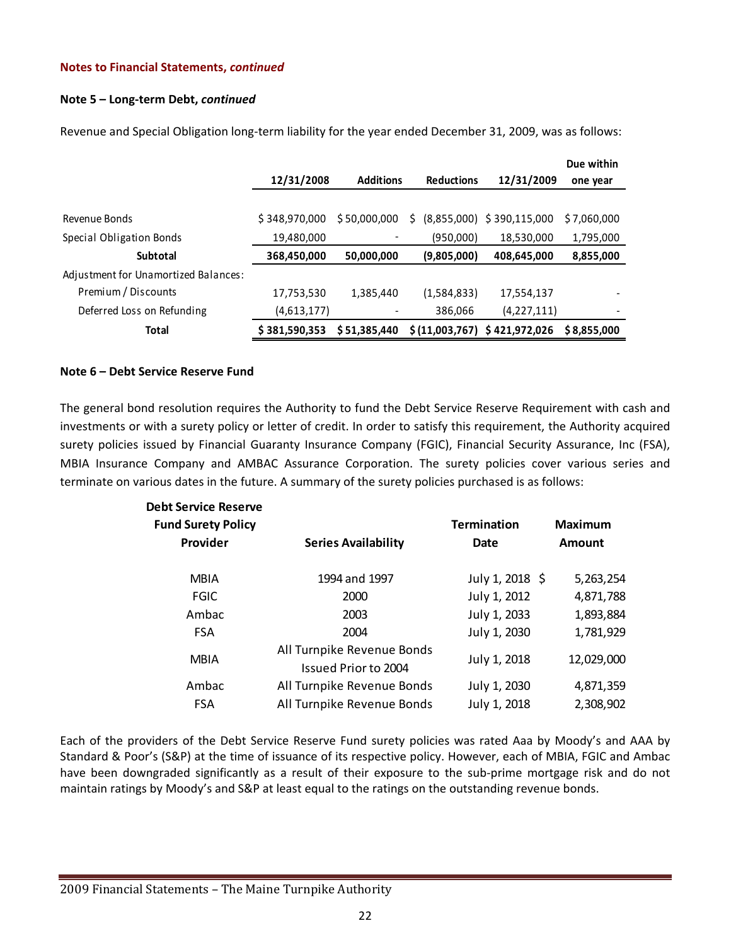#### **Note 5 – Long‐term Debt,** *continued*

|                                      | 12/31/2008    | <b>Additions</b> | <b>Reductions</b> | 12/31/2009                   | Due within<br>one year |
|--------------------------------------|---------------|------------------|-------------------|------------------------------|------------------------|
|                                      |               |                  |                   |                              |                        |
| Revenue Bonds                        | \$348,970,000 | \$50,000,000     | S                 | $(8,855,000)$ \$ 390,115,000 | \$7,060,000            |
| Special Obligation Bonds             | 19,480,000    |                  | (950,000)         | 18,530,000                   | 1,795,000              |
| Subtotal                             | 368,450,000   | 50,000,000       | (9,805,000)       | 408,645,000                  | 8,855,000              |
| Adjustment for Unamortized Balances: |               |                  |                   |                              |                        |
| Premium / Discounts                  | 17,753,530    | 1,385,440        | (1,584,833)       | 17,554,137                   |                        |
| Deferred Loss on Refunding           | (4,613,177)   |                  | 386,066           | (4, 227, 111)                |                        |
| <b>Total</b>                         | \$381,590,353 | \$51,385,440     |                   | \$(11,003,767) \$421,972,026 | \$8,855,000            |

Revenue and Special Obligation long-term liability for the year ended December 31, 2009, was as follows:

#### **Note 6 – Debt Service Reserve Fund**

The general bond resolution requires the Authority to fund the Debt Service Reserve Requirement with cash and investments or with a surety policy or letter of credit. In order to satisfy this requirement, the Authority acquired surety policies issued by Financial Guaranty Insurance Company (FGIC), Financial Security Assurance, Inc (FSA), MBIA Insurance Company and AMBAC Assurance Corporation. The surety policies cover various series and terminate on various dates in the future. A summary of the surety policies purchased is as follows:

| <b>Debt Service Reserve</b> |                                                    |                    |                |
|-----------------------------|----------------------------------------------------|--------------------|----------------|
| <b>Fund Surety Policy</b>   |                                                    | <b>Termination</b> | <b>Maximum</b> |
| Provider                    | <b>Series Availability</b>                         | <b>Date</b>        | <b>Amount</b>  |
| <b>MBIA</b>                 | 1994 and 1997                                      | July 1, 2018 \$    | 5,263,254      |
| <b>FGIC</b>                 | 2000                                               | July 1, 2012       | 4,871,788      |
| Ambac                       | 2003                                               | July 1, 2033       | 1,893,884      |
| <b>FSA</b>                  | 2004                                               | July 1, 2030       | 1,781,929      |
| <b>MBIA</b>                 | All Turnpike Revenue Bonds<br>Issued Prior to 2004 | July 1, 2018       | 12,029,000     |
| Ambac                       | All Turnpike Revenue Bonds                         | July 1, 2030       | 4,871,359      |
| <b>FSA</b>                  | All Turnpike Revenue Bonds                         | July 1, 2018       | 2,308,902      |

Each of the providers of the Debt Service Reserve Fund surety policies was rated Aaa by Moody's and AAA by Standard & Poor's (S&P) at the time of issuance of its respective policy. However, each of MBIA, FGIC and Ambac have been downgraded significantly as a result of their exposure to the sub-prime mortgage risk and do not maintain ratings by Moody's and S&P at least equal to the ratings on the outstanding revenue bonds.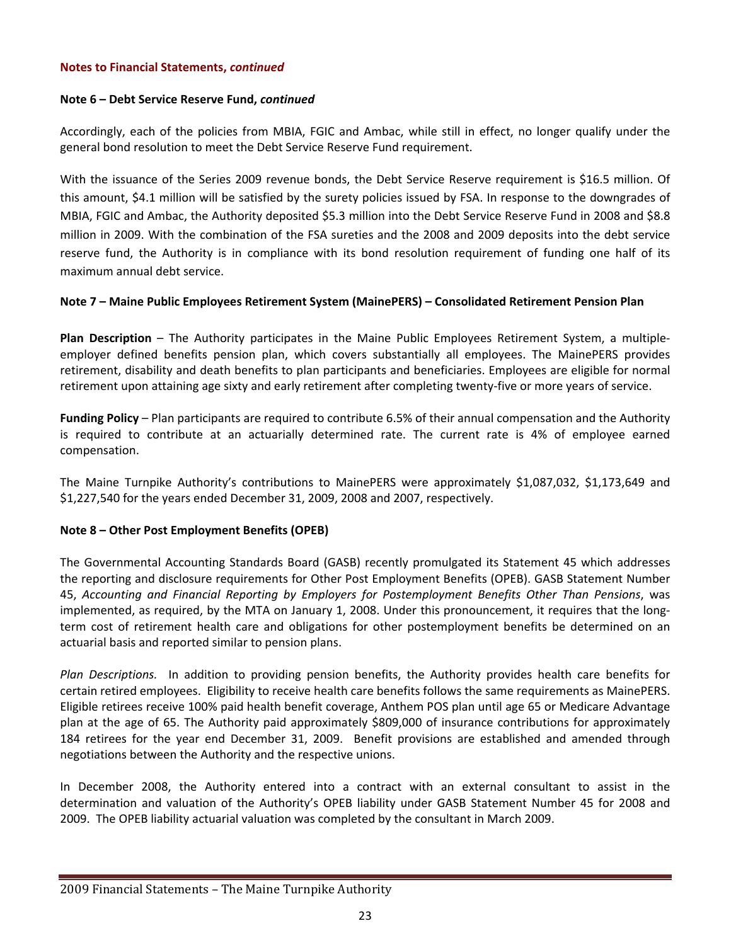#### **Note 6 – Debt Service Reserve Fund,** *continued*

Accordingly, each of the policies from MBIA, FGIC and Ambac, while still in effect, no longer qualify under the general bond resolution to meet the Debt Service Reserve Fund requirement.

With the issuance of the Series 2009 revenue bonds, the Debt Service Reserve requirement is \$16.5 million. Of this amount, \$4.1 million will be satisfied by the surety policies issued by FSA. In response to the downgrades of MBIA, FGIC and Ambac, the Authority deposited \$5.3 million into the Debt Service Reserve Fund in 2008 and \$8.8 million in 2009. With the combination of the FSA sureties and the 2008 and 2009 deposits into the debt service reserve fund, the Authority is in compliance with its bond resolution requirement of funding one half of its maximum annual debt service.

#### **Note 7 – Maine Public Employees Retirement System (MainePERS) – Consolidated Retirement Pension Plan**

**Plan Description** – The Authority participates in the Maine Public Employees Retirement System, a multiple‐ employer defined benefits pension plan, which covers substantially all employees. The MainePERS provides retirement, disability and death benefits to plan participants and beneficiaries. Employees are eligible for normal retirement upon attaining age sixty and early retirement after completing twenty‐five or more years of service.

**Funding Policy** – Plan participants are required to contribute 6.5% of their annual compensation and the Authority is required to contribute at an actuarially determined rate. The current rate is 4% of employee earned compensation.

The Maine Turnpike Authority's contributions to MainePERS were approximately \$1,087,032, \$1,173,649 and \$1,227,540 for the years ended December 31, 2009, 2008 and 2007, respectively.

#### **Note 8 – Other Post Employment Benefits (OPEB)**

The Governmental Accounting Standards Board (GASB) recently promulgated its Statement 45 which addresses the reporting and disclosure requirements for Other Post Employment Benefits (OPEB). GASB Statement Number 45, *Accounting and Financial Reporting by Employers for Postemployment Benefits Other Than Pensions*, was implemented, as required, by the MTA on January 1, 2008. Under this pronouncement, it requires that the longterm cost of retirement health care and obligations for other postemployment benefits be determined on an actuarial basis and reported similar to pension plans.

*Plan Descriptions.*  In addition to providing pension benefits, the Authority provides health care benefits for certain retired employees. Eligibility to receive health care benefits follows the same requirements as MainePERS. Eligible retirees receive 100% paid health benefit coverage, Anthem POS plan until age 65 or Medicare Advantage plan at the age of 65. The Authority paid approximately \$809,000 of insurance contributions for approximately 184 retirees for the year end December 31, 2009. Benefit provisions are established and amended through negotiations between the Authority and the respective unions.

In December 2008, the Authority entered into a contract with an external consultant to assist in the determination and valuation of the Authority's OPEB liability under GASB Statement Number 45 for 2008 and 2009. The OPEB liability actuarial valuation was completed by the consultant in March 2009.

#### 2009 Financial Statements – The Maine Turnpike Authority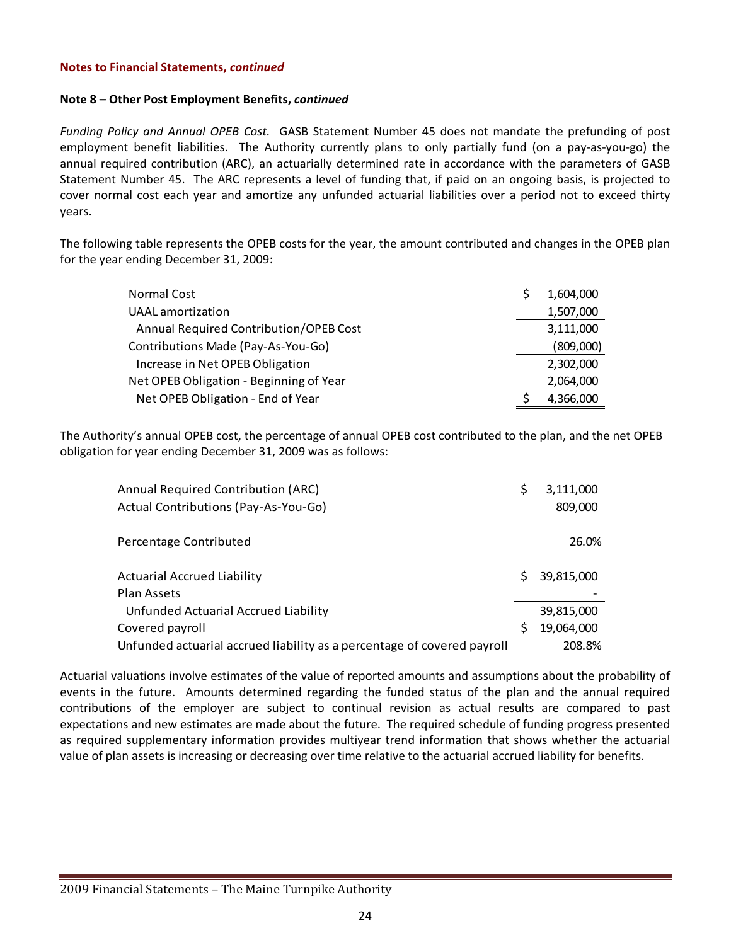#### **Note 8 – Other Post Employment Benefits,** *continued*

*Funding Policy and Annual OPEB Cost.* GASB Statement Number 45 does not mandate the prefunding of post employment benefit liabilities. The Authority currently plans to only partially fund (on a pay-as-you-go) the annual required contribution (ARC), an actuarially determined rate in accordance with the parameters of GASB Statement Number 45. The ARC represents a level of funding that, if paid on an ongoing basis, is projected to cover normal cost each year and amortize any unfunded actuarial liabilities over a period not to exceed thirty years.

The following table represents the OPEB costs for the year, the amount contributed and changes in the OPEB plan for the year ending December 31, 2009:

| Normal Cost                             | 1.604.000 |
|-----------------------------------------|-----------|
| <b>UAAL</b> amortization                | 1,507,000 |
| Annual Required Contribution/OPEB Cost  | 3,111,000 |
| Contributions Made (Pay-As-You-Go)      | (809,000) |
| Increase in Net OPEB Obligation         | 2,302,000 |
| Net OPEB Obligation - Beginning of Year | 2,064,000 |
| Net OPEB Obligation - End of Year       | 4,366,000 |

The Authority's annual OPEB cost, the percentage of annual OPEB cost contributed to the plan, and the net OPEB obligation for year ending December 31, 2009 was as follows:

| Annual Required Contribution (ARC)                                      | \$ | 3,111,000  |
|-------------------------------------------------------------------------|----|------------|
| Actual Contributions (Pay-As-You-Go)                                    |    | 809,000    |
|                                                                         |    |            |
| Percentage Contributed                                                  |    | 26.0%      |
| <b>Actuarial Accrued Liability</b>                                      | S. | 39,815,000 |
| <b>Plan Assets</b>                                                      |    |            |
| Unfunded Actuarial Accrued Liability                                    |    | 39,815,000 |
| Covered payroll                                                         | S  | 19,064,000 |
| Unfunded actuarial accrued liability as a percentage of covered payroll |    | 208.8%     |

Actuarial valuations involve estimates of the value of reported amounts and assumptions about the probability of events in the future. Amounts determined regarding the funded status of the plan and the annual required contributions of the employer are subject to continual revision as actual results are compared to past expectations and new estimates are made about the future. The required schedule of funding progress presented as required supplementary information provides multiyear trend information that shows whether the actuarial value of plan assets is increasing or decreasing over time relative to the actuarial accrued liability for benefits.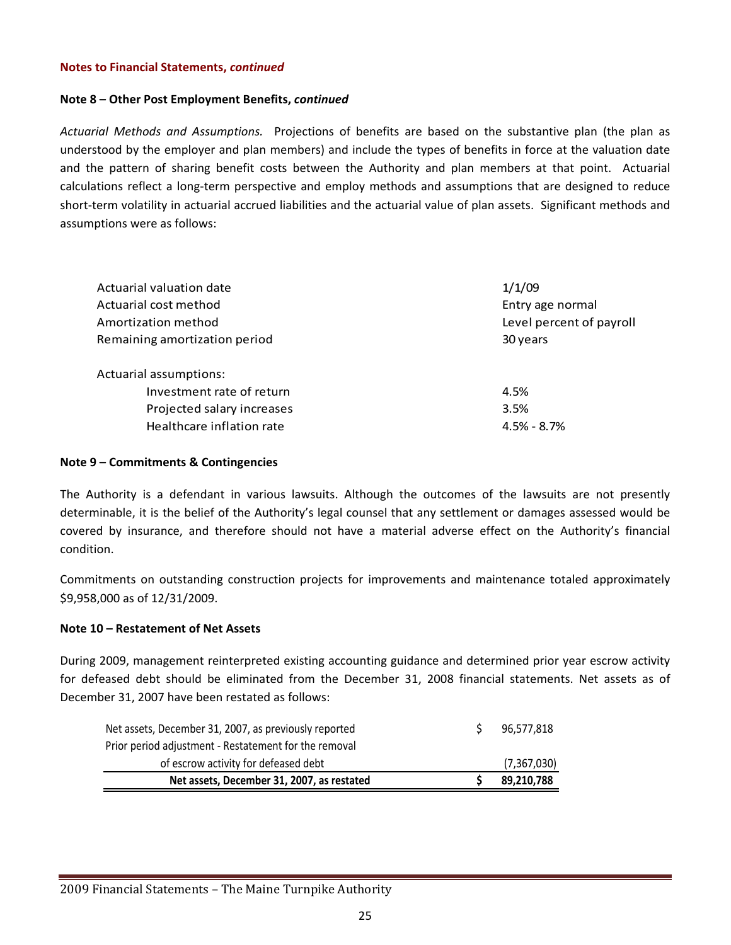#### **Note 8 – Other Post Employment Benefits,** *continued*

*Actuarial Methods and Assumptions.*  Projections of benefits are based on the substantive plan (the plan as understood by the employer and plan members) and include the types of benefits in force at the valuation date and the pattern of sharing benefit costs between the Authority and plan members at that point. Actuarial calculations reflect a long‐term perspective and employ methods and assumptions that are designed to reduce short-term volatility in actuarial accrued liabilities and the actuarial value of plan assets. Significant methods and assumptions were as follows:

| Actuarial valuation date      | 1/1/09                   |
|-------------------------------|--------------------------|
| Actuarial cost method         | Entry age normal         |
| Amortization method           | Level percent of payroll |
| Remaining amortization period | 30 years                 |
| Actuarial assumptions:        |                          |
| Investment rate of return     | 4.5%                     |
| Projected salary increases    | 3.5%                     |
| Healthcare inflation rate     | $4.5\% - 8.7\%$          |

#### **Note 9 – Commitments & Contingencies**

The Authority is a defendant in various lawsuits. Although the outcomes of the lawsuits are not presently determinable, it is the belief of the Authority's legal counsel that any settlement or damages assessed would be covered by insurance, and therefore should not have a material adverse effect on the Authority's financial condition.

Commitments on outstanding construction projects for improvements and maintenance totaled approximately \$9,958,000 as of 12/31/2009.

#### **Note 10 – Restatement of Net Assets**

During 2009, management reinterpreted existing accounting guidance and determined prior year escrow activity for defeased debt should be eliminated from the December 31, 2008 financial statements. Net assets as of December 31, 2007 have been restated as follows:

| Net assets, December 31, 2007, as restated            | 89,210,788    |
|-------------------------------------------------------|---------------|
| of escrow activity for defeased debt                  | (7, 367, 030) |
| Prior period adjustment - Restatement for the removal |               |
| Net assets, December 31, 2007, as previously reported | 96.577.818    |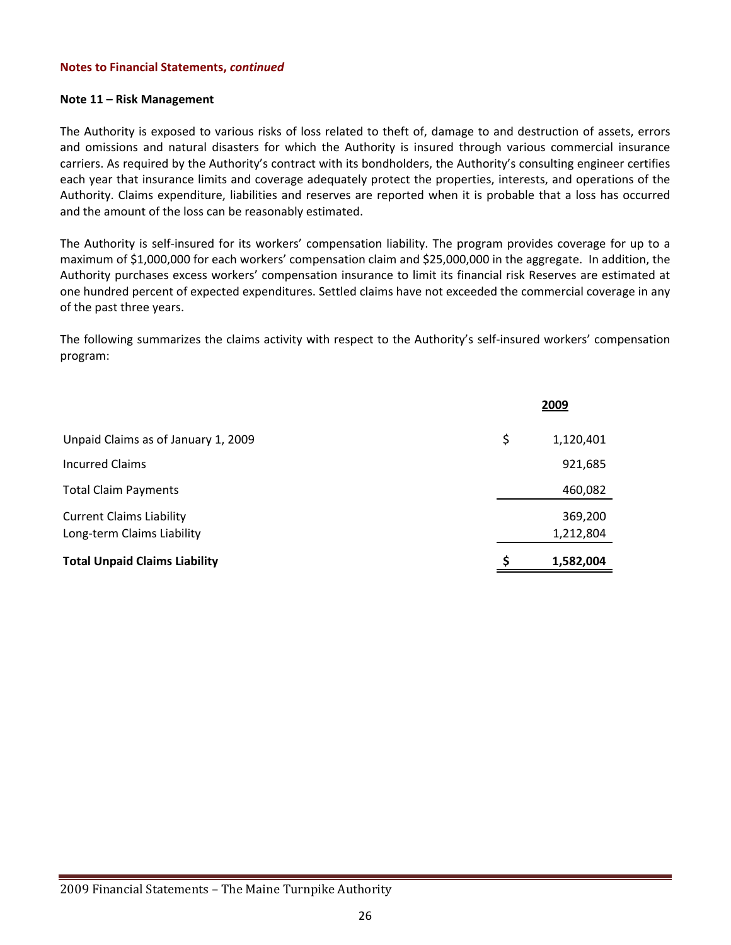#### **Note 11 – Risk Management**

The Authority is exposed to various risks of loss related to theft of, damage to and destruction of assets, errors and omissions and natural disasters for which the Authority is insured through various commercial insurance carriers. As required by the Authority's contract with its bondholders, the Authority's consulting engineer certifies each year that insurance limits and coverage adequately protect the properties, interests, and operations of the Authority. Claims expenditure, liabilities and reserves are reported when it is probable that a loss has occurred and the amount of the loss can be reasonably estimated.

The Authority is self-insured for its workers' compensation liability. The program provides coverage for up to a maximum of \$1,000,000 for each workers' compensation claim and \$25,000,000 in the aggregate. In addition, the Authority purchases excess workers' compensation insurance to limit its financial risk Reserves are estimated at one hundred percent of expected expenditures. Settled claims have not exceeded the commercial coverage in any of the past three years.

The following summarizes the claims activity with respect to the Authority's self‐insured workers' compensation program:

|                                                               | 2009 |                      |
|---------------------------------------------------------------|------|----------------------|
| Unpaid Claims as of January 1, 2009                           | \$   | 1,120,401            |
| <b>Incurred Claims</b>                                        |      | 921,685              |
| <b>Total Claim Payments</b>                                   |      | 460,082              |
| <b>Current Claims Liability</b><br>Long-term Claims Liability |      | 369,200<br>1,212,804 |
| <b>Total Unpaid Claims Liability</b>                          |      | 1,582,004            |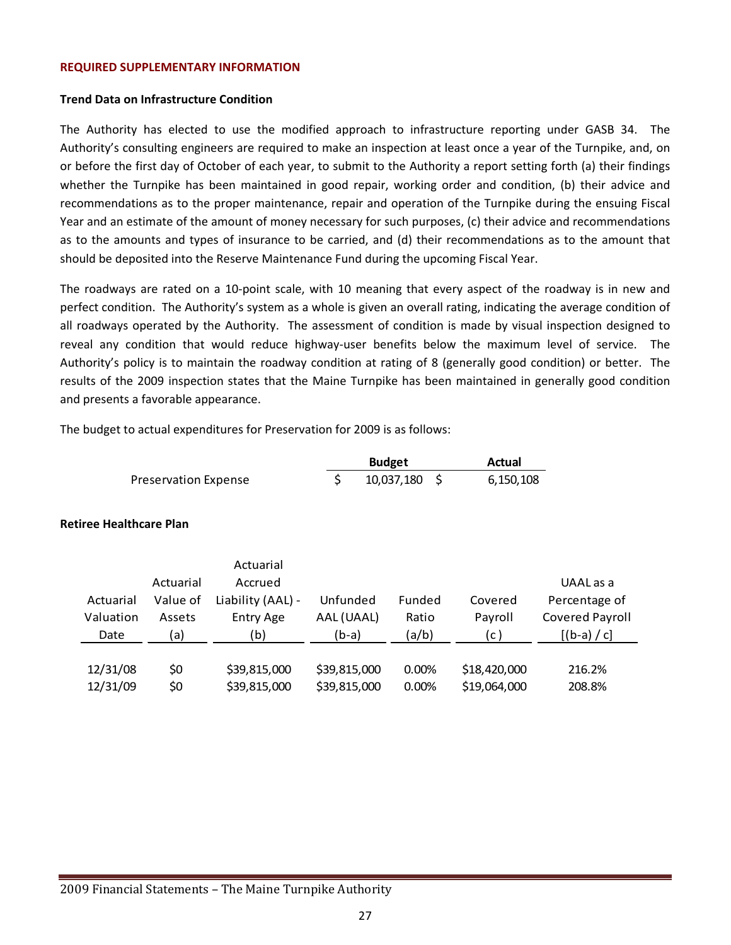#### **REQUIRED SUPPLEMENTARY INFORMATION**

#### **Trend Data on Infrastructure Condition**

The Authority has elected to use the modified approach to infrastructure reporting under GASB 34. The Authority's consulting engineers are required to make an inspection at least once a year of the Turnpike, and, on or before the first day of October of each year, to submit to the Authority a report setting forth (a) their findings whether the Turnpike has been maintained in good repair, working order and condition, (b) their advice and recommendations as to the proper maintenance, repair and operation of the Turnpike during the ensuing Fiscal Year and an estimate of the amount of money necessary for such purposes, (c) their advice and recommendations as to the amounts and types of insurance to be carried, and (d) their recommendations as to the amount that should be deposited into the Reserve Maintenance Fund during the upcoming Fiscal Year.

The roadways are rated on a 10‐point scale, with 10 meaning that every aspect of the roadway is in new and perfect condition. The Authority's system as a whole is given an overall rating, indicating the average condition of all roadways operated by the Authority. The assessment of condition is made by visual inspection designed to reveal any condition that would reduce highway-user benefits below the maximum level of service. The Authority's policy is to maintain the roadway condition at rating of 8 (generally good condition) or better. The results of the 2009 inspection states that the Maine Turnpike has been maintained in generally good condition and presents a favorable appearance.

The budget to actual expenditures for Preservation for 2009 is as follows:

|                             | <b>Budget</b> |                 | Actual    |
|-----------------------------|---------------|-----------------|-----------|
| <b>Preservation Expense</b> |               | $10,037,180$ \$ | 6,150,108 |

#### **Retiree Healthcare Plan**

|           |           | Actuarial         |              |        |              |                 |
|-----------|-----------|-------------------|--------------|--------|--------------|-----------------|
|           | Actuarial | Accrued           |              |        |              | UAAL as a       |
| Actuarial | Value of  | Liability (AAL) - | Unfunded     | Funded | Covered      | Percentage of   |
| Valuation | Assets    | Entry Age         | AAL (UAAL)   | Ratio  | Payroll      | Covered Payroll |
| Date      | a)        | (b)               | $(b-a)$      | (a/b)  | (c )         | $[(b-a) / c]$   |
|           |           |                   |              |        |              |                 |
| 12/31/08  | \$0       | \$39,815,000      | \$39,815,000 | 0.00%  | \$18,420,000 | 216.2%          |
| 12/31/09  | \$0       | \$39,815,000      | \$39,815,000 | 0.00%  | \$19,064,000 | 208.8%          |